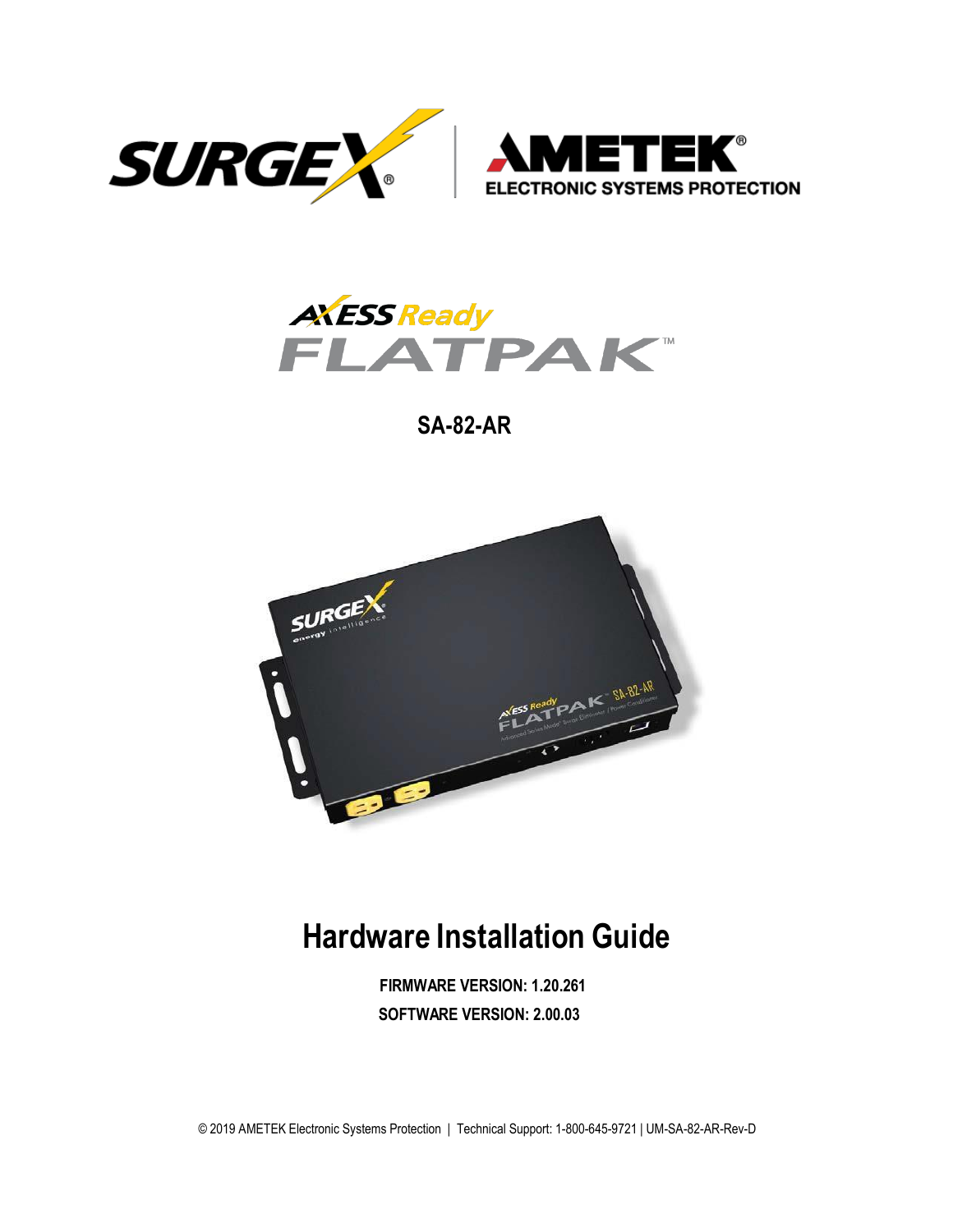



**SA-82-AR**



# **Hardware Installation Guide**

**FIRMWARE VERSION: 1.20.261 SOFTWARE VERSION: 2.00.03**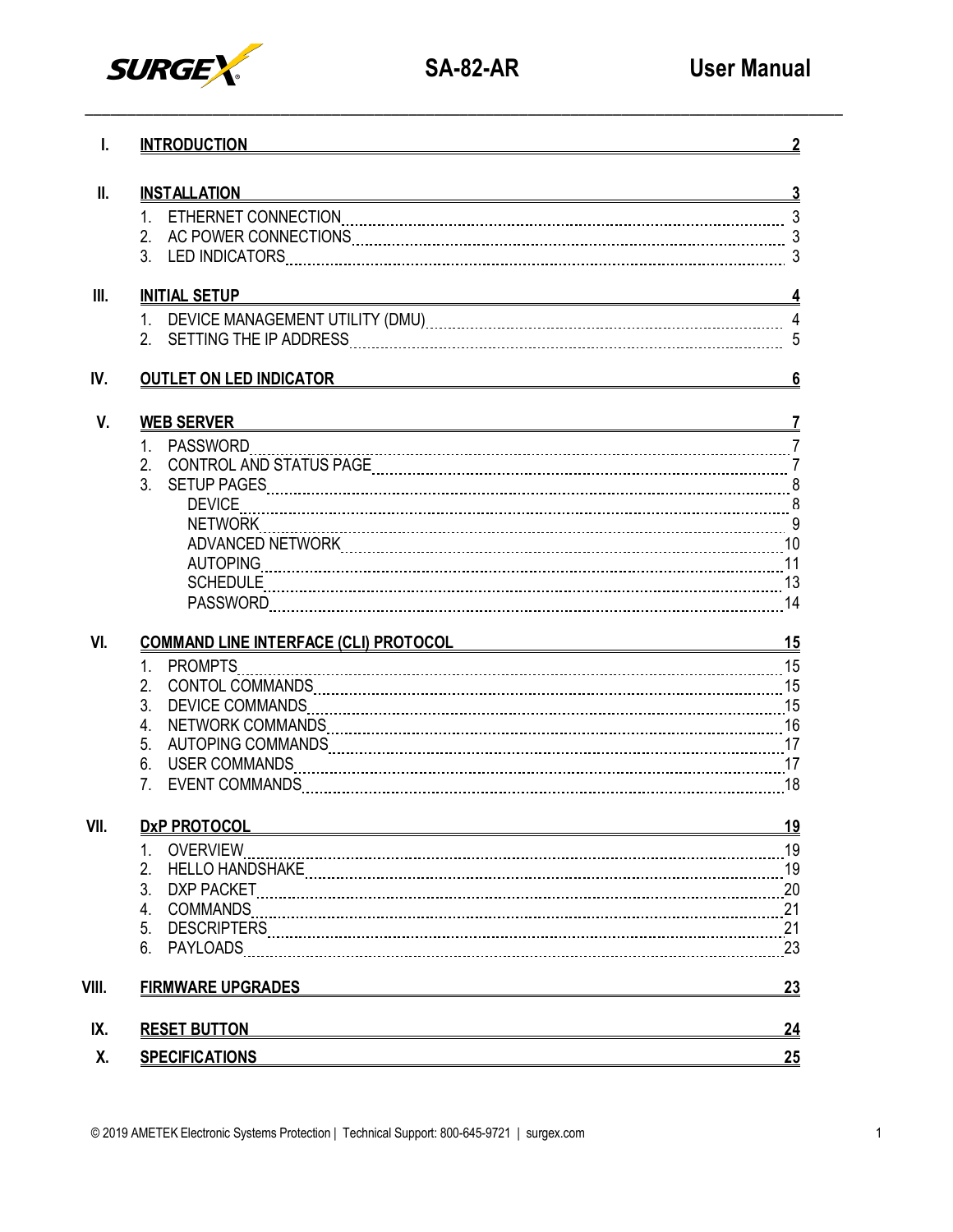

| I.              | <b>INTRODUCTION</b>                                                                | $\overline{2}$ |
|-----------------|------------------------------------------------------------------------------------|----------------|
| $\mathbf{II}$ . | <b>INSTALLATION</b><br><u> 1989 - Johann Stoff, Amerikaansk politiker († 1908)</u> | <u>3</u>       |
|                 |                                                                                    |                |
| III.            | <b>INITIAL SETUP</b>                                                               |                |
|                 |                                                                                    |                |
| IV.             | <b>OUTLET ON LED INDICATOR</b><br><u> 1980 - Andrea Andrew Maria (h. 1980).</u>    | $6\phantom{a}$ |
| V.              | <b>WEB SERVER</b>                                                                  |                |
|                 |                                                                                    |                |
|                 |                                                                                    |                |
|                 |                                                                                    |                |
|                 |                                                                                    |                |
|                 |                                                                                    |                |
|                 |                                                                                    |                |
|                 |                                                                                    |                |
|                 |                                                                                    |                |
|                 |                                                                                    |                |
| VI.             | <u>COMMAND LINE INTERFACE (CLI) PROTOCOL 15</u>                                    |                |
|                 | 1. PROMPTS                                                                         |                |
|                 |                                                                                    |                |
|                 | 3 <sub>1</sub>                                                                     |                |
|                 |                                                                                    |                |
|                 |                                                                                    |                |
|                 |                                                                                    |                |
| VII.            | <b>DxP PROTOCOL</b>                                                                | <u>19</u>      |
|                 | 1.<br><b>OVERVIEW</b>                                                              |                |
|                 | 2.                                                                                 |                |
|                 | 3.                                                                                 |                |
|                 | 4.<br>COMMANDS                                                                     |                |
|                 | 5.                                                                                 |                |
|                 | 6.                                                                                 |                |
| VIII.           | <b>FIRMWARE UPGRADES</b>                                                           | <u>23</u>      |
| IX.             | <b>RESET BUTTON</b>                                                                | 24             |
| Χ.              | <b>SPECIFICATIONS</b>                                                              | 25             |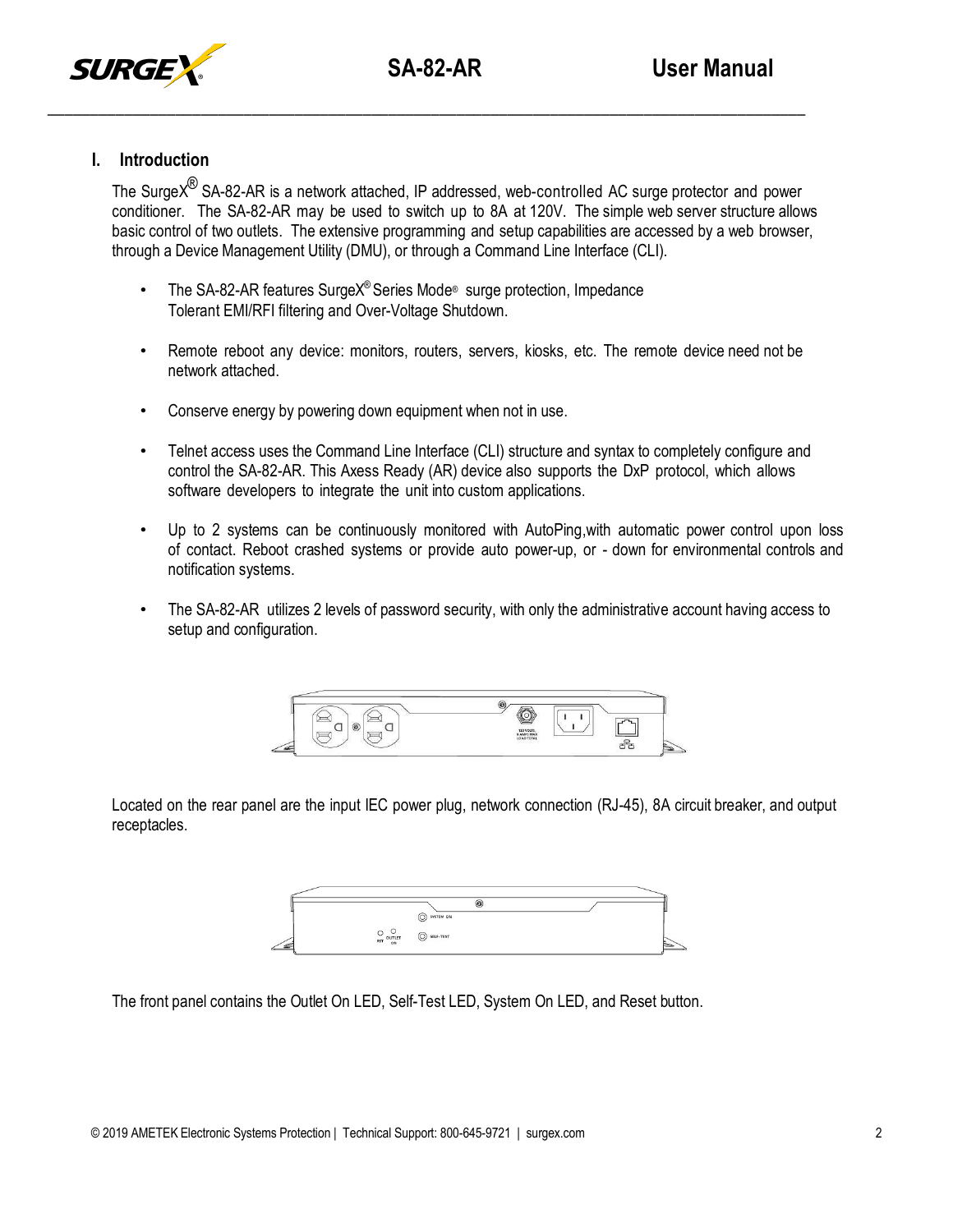



# **I. Introduction**

The SurgeX $^{\circledR}$  SA-82-AR is a network attached, IP addressed, web-controlled AC surge protector and power conditioner. The SA-82-AR may be used to switch up to 8A at 120V. The simple web server structure allows basic control of two outlets. The extensive programming and setup capabilities are accessed by a web browser, through a Device Management Utility (DMU), or through a Command Line Interface (CLI).

- The SA-82-AR features SurgeX® Series Mode® surge protection, Impedance Tolerant EMI/RFI filtering and Over-Voltage Shutdown.
- Remote reboot any device: monitors, routers, servers, kiosks, etc. The remote device need not be network attached.
- Conserve energy by powering down equipment when not in use.
- Telnet access uses the Command Line Interface (CLI) structure and syntax to completely configure and control the SA-82-AR. This Axess Ready (AR) device also supports the DxP protocol, which allows software developers to integrate the unit into custom applications.
- Up to 2 systems can be continuously monitored with AutoPing, with automatic power control upon loss of contact. Reboot crashed systems or provide auto power-up, or - down for environmental controls and notification systems.
- The SA-82-AR utilizes 2 levels of password security, with only the administrative account having access to setup and configuration.



Located on the rear panel are the input IEC power plug, network connection (RJ-45), 8A circuit breaker, and output receptacles.

|             | G                      |           |  |
|-------------|------------------------|-----------|--|
|             | SYSTEM ON<br>⌒         |           |  |
| $\check{ }$ |                        |           |  |
|             | $\frac{O}{RST}$ OUTLET | SELF-TEST |  |

The front panel contains the Outlet On LED, Self-Test LED, System On LED, and Reset button.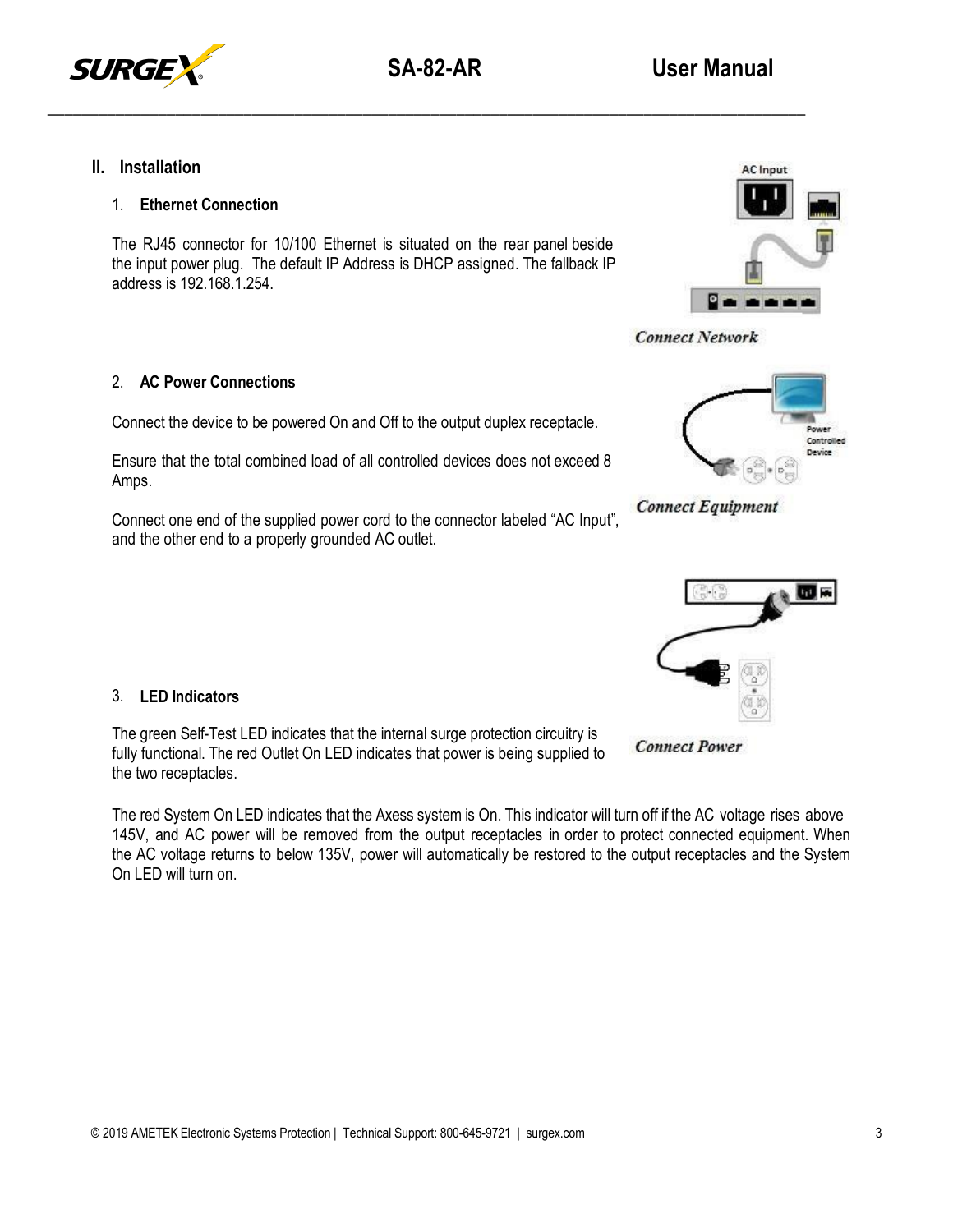

# **II. Installation**

## 1. **Ethernet Connection**

The RJ45 connector for 10/100 Ethernet is situated on the rear panel beside the input power plug. The default IP Address is DHCP assigned. The fallback IP address is 192.168.1.254.



Controlled Device

**Connect Network** 

**Connect Equipment** 

#### 2. **AC Power Connections**

Connect the device to be powered On and Off to the output duplex receptacle.

Ensure that the total combined load of all controlled devices does not exceed 8 Amps.

Connect one end of the supplied power cord to the connector labeled "AC Input", and the other end to a properly grounded AC outlet.

## 3. **LED Indicators**

The green Self-Test LED indicates that the internal surge protection circuitry is fully functional. The red Outlet On LED indicates that power is being supplied to the two receptacles.

The red System On LED indicates that the Axess system is On. This indicator will turn off if the AC voltage rises above 145V, and AC power will be removed from the output receptacles in order to protect connected equipment. When the AC voltage returns to below 135V, power will automatically be restored to the output receptacles and the System On LED will turn on.



**Connect Power**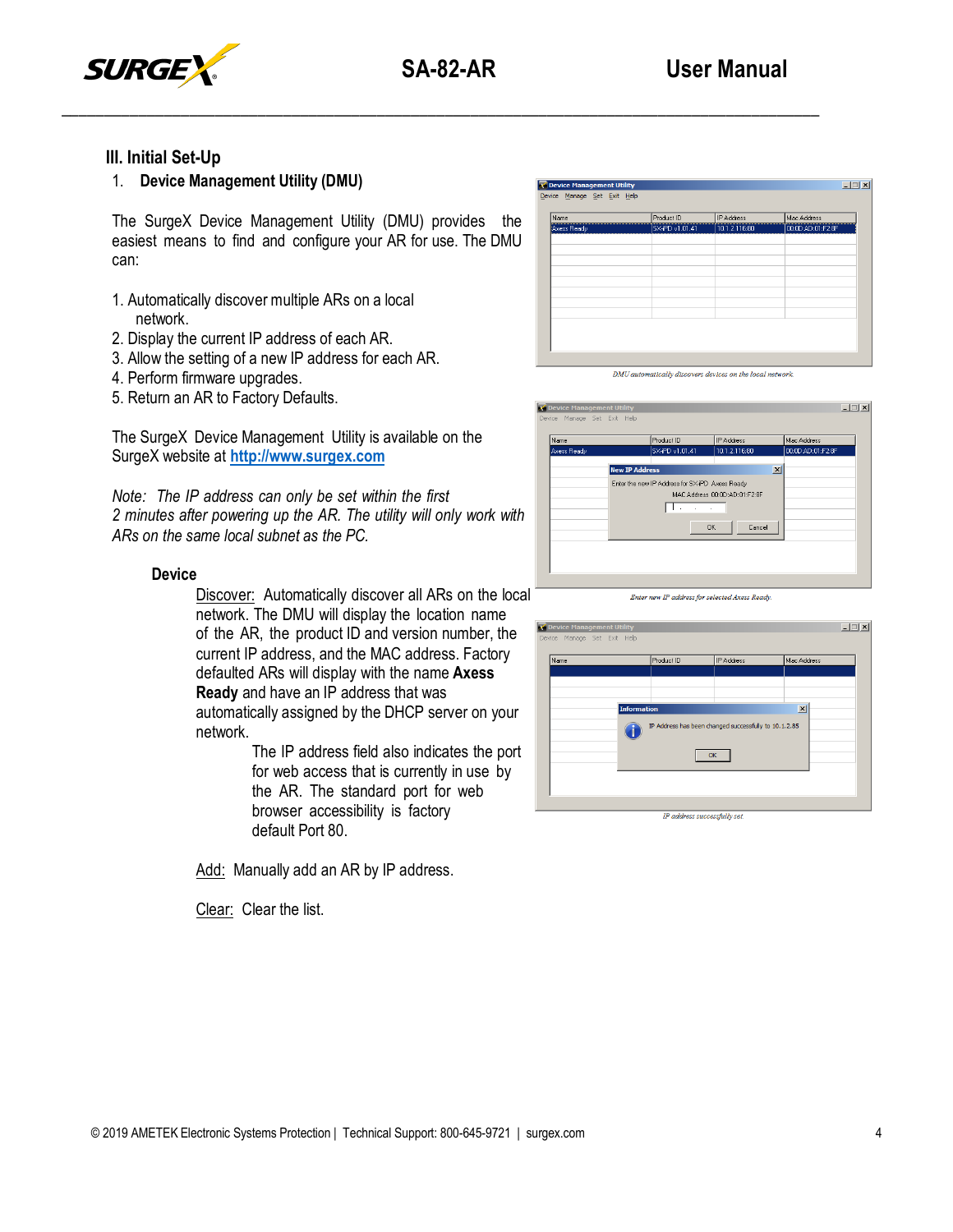

# **III. Initial Set-Up**

# 1. **Device Management Utility (DMU)**

The SurgeX Device Management Utility (DMU) provides the easiest means to find and configure your AR for use. The DMU can:

- 1. Automatically discover multiple ARs on a local network.
- 2. Display the current IP address of each AR.
- 3. Allow the setting of a new IP address for each AR.
- 4. Perform firmware upgrades.
- 5. Return an AR to Factory Defaults.

The SurgeX Device Management Utility is available on the SurgeX website at **[http://www.surgex.com](http://www.surgex.com/)**

*Note: The IP address can only be set within the first 2 minutes after powering up the AR. The utility will only work with ARs on the same local subnet as the PC.*

#### **Device**

Discover: Automatically discover all ARs on the local network. The DMU will display the location name of the AR, the product ID and version number, the current IP address, and the MAC address. Factory defaulted ARs will display with the name **Axess Ready** and have an IP address that was automatically assigned by the DHCP server on your network.

The IP address field also indicates the port for web access that is currently in use by the AR. The standard port for web browser accessibility is factory default Port 80.

Add: Manually add an AR by IP address.

Clear: Clear the list.

| SX-PD v1.01.41 | 10.1.2.116:80 | 00:00:AD:01:F2:8F |
|----------------|---------------|-------------------|
|                |               |                   |
|                |               |                   |
|                |               |                   |
|                |               |                   |
|                |               |                   |
|                |               |                   |
|                |               |                   |
|                |               |                   |
|                |               |                   |
|                |               |                   |

DMU automatically discovers devices on the local network

| Name<br>Axess Ready |                       | Product ID<br>SX-iPD v1.01.41                                                    | IP Address<br>10.1.2.116:80 |                 | Mac Address<br>00:00:AD:01:F2:8F |  |
|---------------------|-----------------------|----------------------------------------------------------------------------------|-----------------------------|-----------------|----------------------------------|--|
|                     | <b>New IP Address</b> |                                                                                  |                             | $\vert x \vert$ |                                  |  |
|                     |                       | Enter the new IP Address for SX-iPD Axess Ready<br>MAC Address 00:0D:AD:01:F2:8F |                             |                 |                                  |  |
|                     |                       |                                                                                  | <b>OK</b><br>Cancel         |                 |                                  |  |

|  |  | Enter new IP address for selected Axess Ready. |  |
|--|--|------------------------------------------------|--|
|  |  |                                                |  |

| Name |                    | Product ID | IP Address                                            | Mac Address     |
|------|--------------------|------------|-------------------------------------------------------|-----------------|
|      |                    |            |                                                       |                 |
|      |                    |            |                                                       |                 |
|      | <b>Information</b> |            | IP Address has been changed successfully to 10.1.2.85 | $\vert x \vert$ |
|      |                    | OK         |                                                       |                 |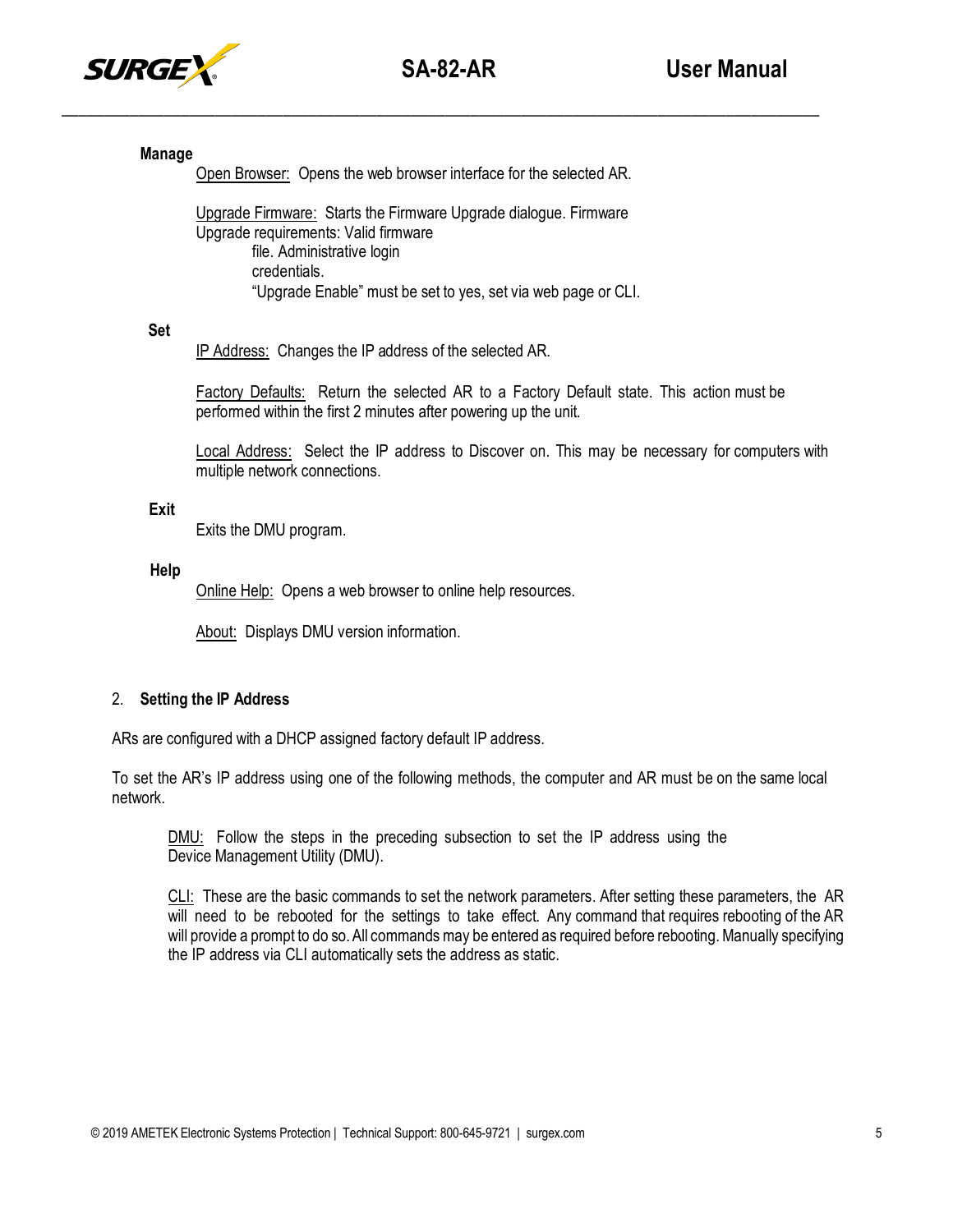

## **Manage**

Open Browser: Opens the web browser interface for the selected AR.

Upgrade Firmware: Starts the Firmware Upgrade dialogue. Firmware Upgrade requirements: Valid firmware file. Administrative login credentials. "Upgrade Enable" must be set to yes, set via web page or CLI.

## **Set**

IP Address: Changes the IP address of the selected AR.

Factory Defaults: Return the selected AR to a Factory Default state. This action must be performed within the first 2 minutes after powering up the unit.

Local Address: Select the IP address to Discover on. This may be necessary for computers with multiple network connections.

## **Exit**

Exits the DMU program.

## **Help**

Online Help: Opens a web browser to online help resources.

About: Displays DMU version information.

# 2. **Setting the IP Address**

ARs are configured with a DHCP assigned factory default IP address.

To set the AR's IP address using one of the following methods, the computer and AR must be on the same local network.

DMU: Follow the steps in the preceding subsection to set the IP address using the Device Management Utility (DMU).

CLI: These are the basic commands to set the network parameters. After setting these parameters, the AR will need to be rebooted for the settings to take effect. Any command that requires rebooting of the AR will provide a prompt to do so. All commands may be entered as required before rebooting. Manually specifying the IP address via CLI automatically sets the address as static.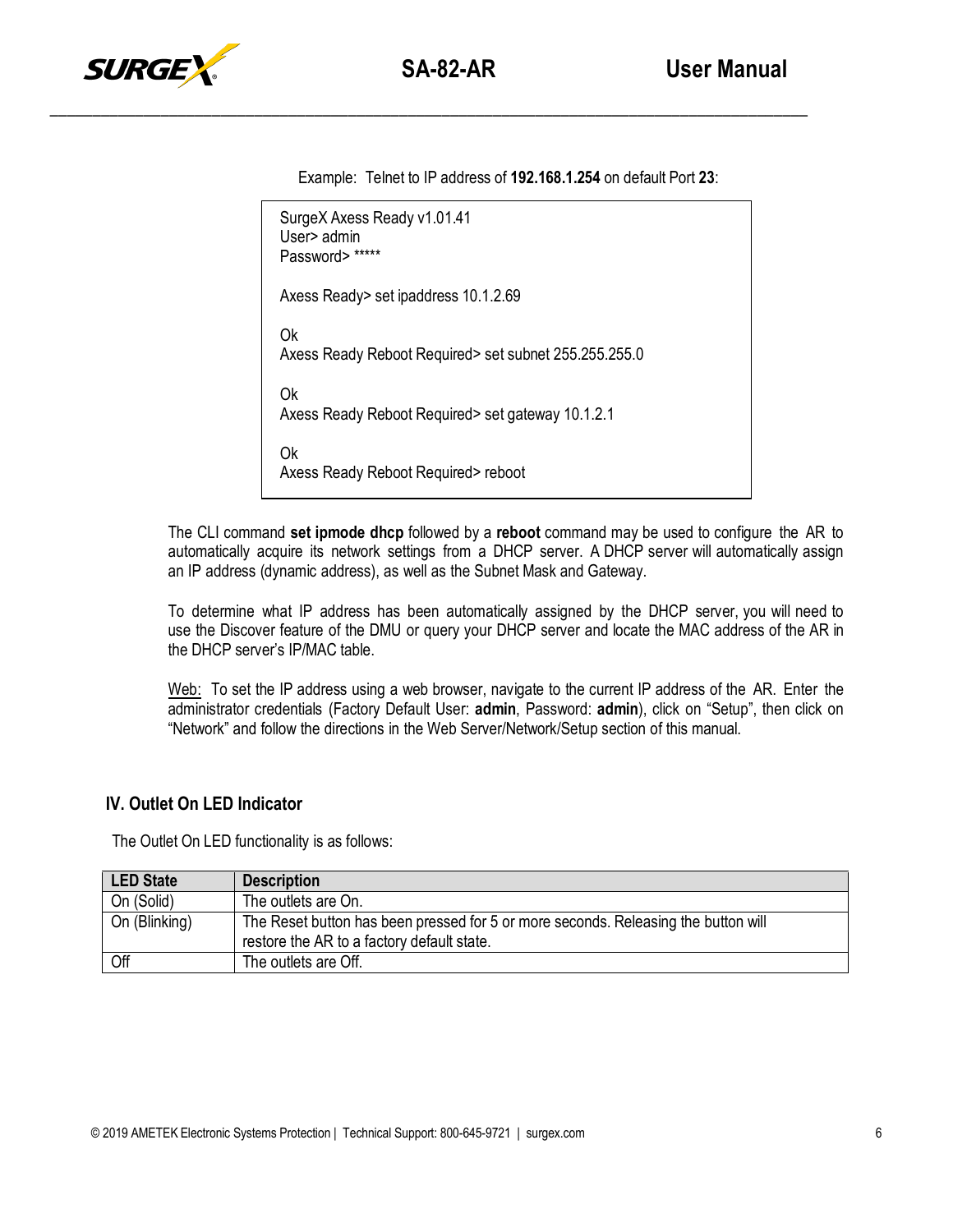

Example: Telnet to IP address of **192.168.1.254** on default Port **23**:

```
SurgeX Axess Ready v1.01.41
User> admin
Password> *****
Axess Ready> set ipaddress 10.1.2.69
Ok
Axess Ready Reboot Required> set subnet 255.255.255.0
Ok
Axess Ready Reboot Required> set gateway 10.1.2.1
Ok
Axess Ready Reboot Required> reboot
```
The CLI command **set ipmode dhcp** followed by a **reboot** command may be used to configure the AR to automatically acquire its network settings from a DHCP server. A DHCP server will automatically assign an IP address (dynamic address), as well as the Subnet Mask and Gateway.

To determine what IP address has been automatically assigned by the DHCP server, you will need to use the Discover feature of the DMU or query your DHCP server and locate the MAC address of the AR in the DHCP server's IP/MAC table.

Web: To set the IP address using a web browser, navigate to the current IP address of the AR. Enter the administrator credentials (Factory Default User: **admin**, Password: **admin**), click on "Setup", then click on "Network" and follow the directions in the Web Server/Network/Setup section of this manual.

# **IV. Outlet On LED Indicator**

The Outlet On LED functionality is as follows:

| <b>LED State</b> | <b>Description</b>                                                                                                               |
|------------------|----------------------------------------------------------------------------------------------------------------------------------|
| On (Solid)       | The outlets are On.                                                                                                              |
| On (Blinking)    | The Reset button has been pressed for 5 or more seconds. Releasing the button will<br>restore the AR to a factory default state. |
| Off              | The outlets are Off.                                                                                                             |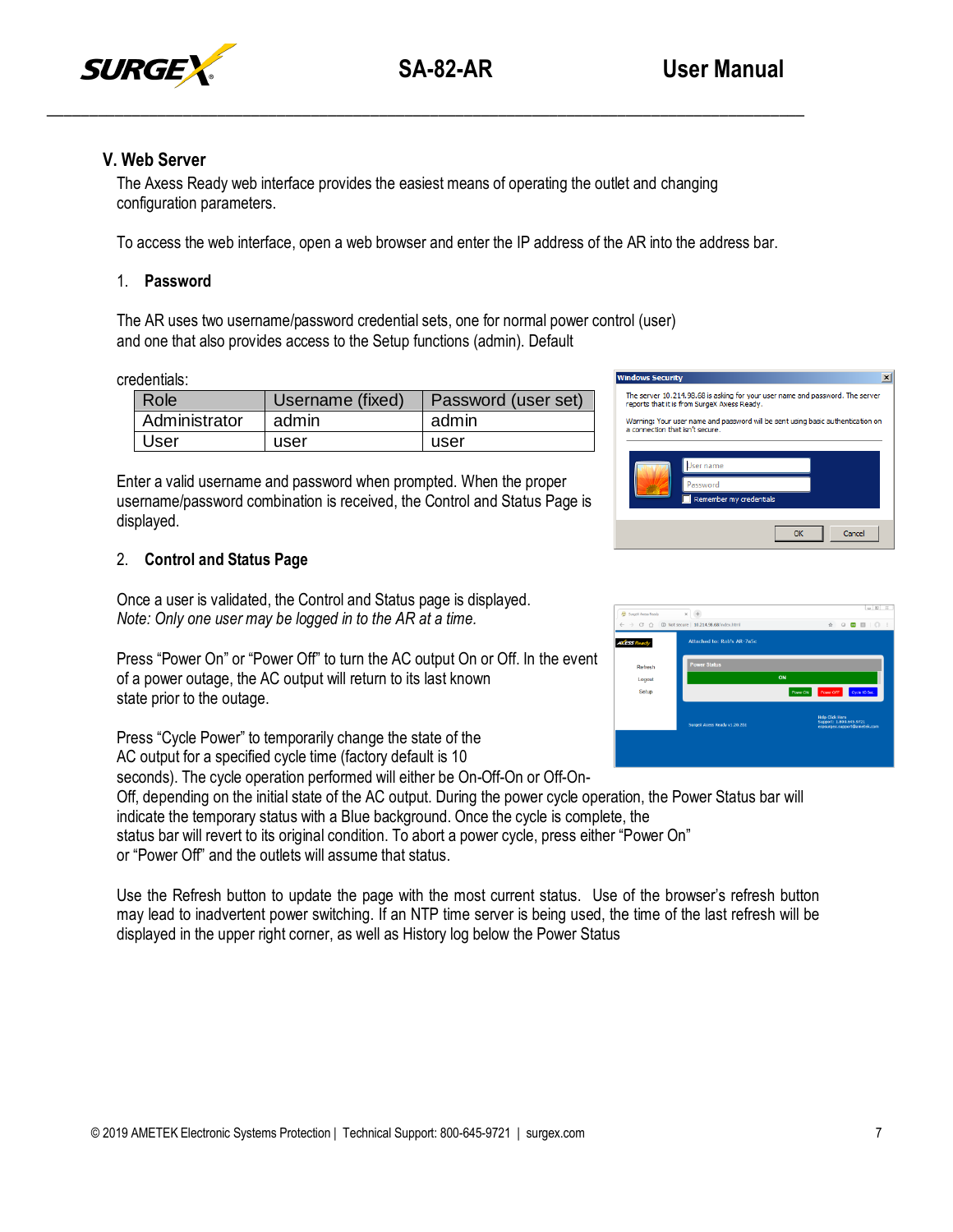



# **V. Web Server**

The Axess Ready web interface provides the easiest means of operating the outlet and changing configuration parameters.

\_\_\_\_\_\_\_\_\_\_\_\_\_\_\_\_\_\_\_\_\_\_\_\_\_\_\_\_\_\_\_\_\_\_\_\_\_\_\_\_\_\_\_\_\_\_\_\_\_\_\_\_\_\_\_\_\_\_\_\_\_\_\_\_\_\_\_\_\_\_\_\_\_\_\_\_\_\_\_\_\_\_\_\_\_\_\_\_\_

To access the web interface, open a web browser and enter the IP address of the AR into the address bar.

## 1. **Password**

The AR uses two username/password credential sets, one for normal power control (user) and one that also provides access to the Setup functions (admin). Default

#### credentials:

| Role          | Username (fixed) | Password (user set) |
|---------------|------------------|---------------------|
| Administrator | admin            | admin               |
| User          | user             | user                |

Enter a valid username and password when prompted. When the proper username/password combination is received, the Control and Status Page is displayed.

## 2. **Control and Status Page**

Once a user is validated, the Control and Status page is displayed. *Note: Only one user may be logged in to the AR at a time.*

Press "Power On" or "Power Off" to turn the AC output On or Off. In the event of a power outage, the AC output will return to its last known state prior to the outage.

Press "Cycle Power" to temporarily change the state of the

AC output for a specified cycle time (factory default is 10

seconds). The cycle operation performed will either be On-Off-On or Off-On-Off, depending on the initial state of the AC output. During the power cycle operation, the Power Status bar will

indicate the temporary status with a Blue background. Once the cycle is complete, the

status bar will revert to its original condition. To abort a power cycle, press either "Power On" or "Power Off" and the outlets will assume that status.

Use the Refresh button to update the page with the most current status. Use of the browser's refresh button may lead to inadvertent power switching. If an NTP time server is being used, the time of the last refresh will be displayed in the upper right corner, as well as History log below the Power Status



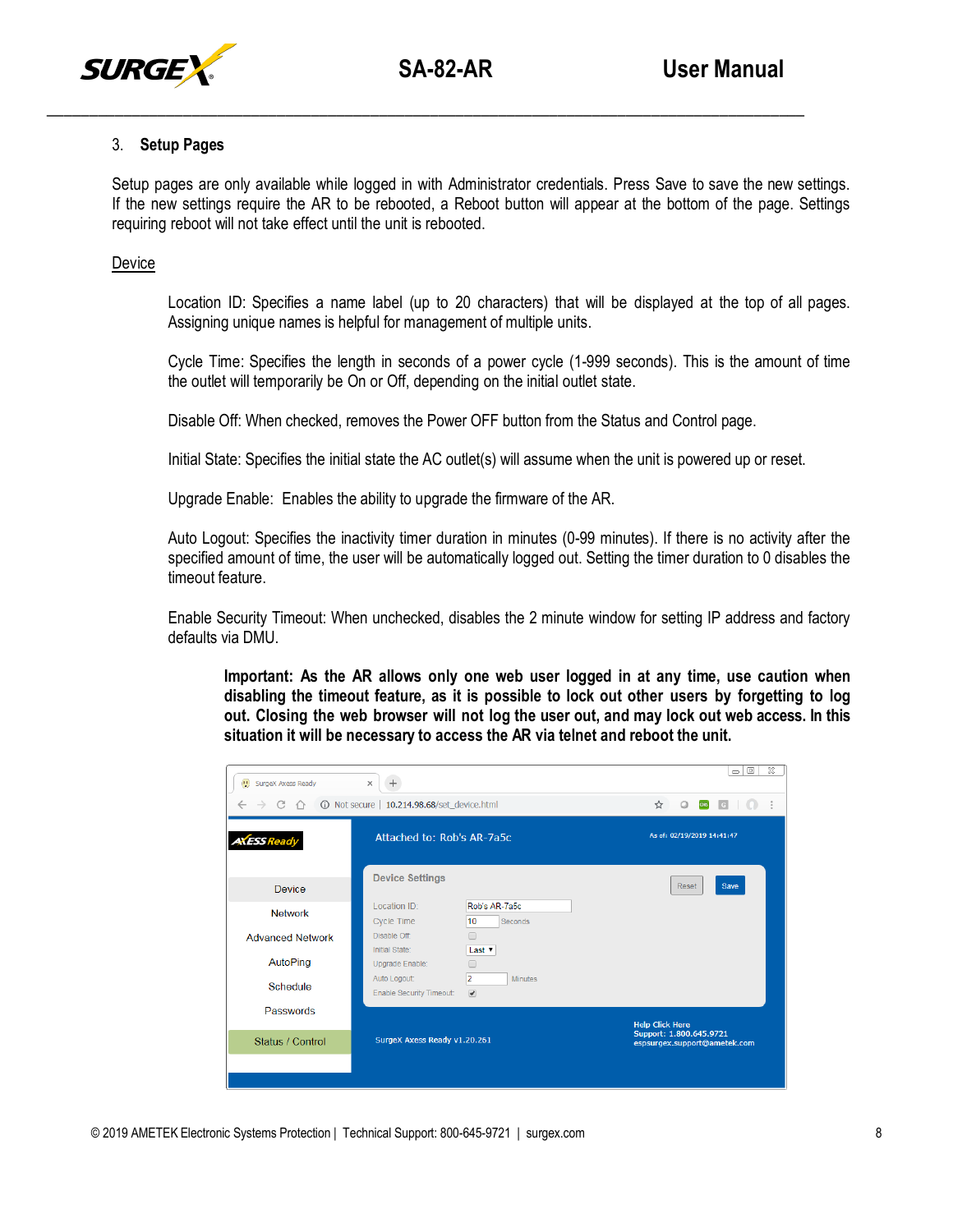

## 3. **Setup Pages**

Setup pages are only available while logged in with Administrator credentials. Press Save to save the new settings. If the new settings require the AR to be rebooted, a Reboot button will appear at the bottom of the page. Settings requiring reboot will not take effect until the unit is rebooted.

**Device** 

Location ID: Specifies a name label (up to 20 characters) that will be displayed at the top of all pages. Assigning unique names is helpful for management of multiple units.

Cycle Time: Specifies the length in seconds of a power cycle (1-999 seconds). This is the amount of time the outlet will temporarily be On or Off, depending on the initial outlet state.

Disable Off: When checked, removes the Power OFF button from the Status and Control page.

Initial State: Specifies the initial state the AC outlet(s) will assume when the unit is powered up or reset.

Upgrade Enable: Enables the ability to upgrade the firmware of the AR.

Auto Logout: Specifies the inactivity timer duration in minutes (0-99 minutes). If there is no activity after the specified amount of time, the user will be automatically logged out. Setting the timer duration to 0 disables the timeout feature.

Enable Security Timeout: When unchecked, disables the 2 minute window for setting IP address and factory defaults via DMU.

**Important: As the AR allows only one web user logged in at any time, use caution when disabling the timeout feature, as it is possible to lock out other users by forgetting to log out. Closing the web browser will not log the user out, and may lock out web access. In this situation it will be necessary to access the AR via telnet and reboot the unit.**

| 10.214.98.68/set_device.html<br>G                         | <b>CORS</b><br>G<br>☆<br>$\circ$                |                                                         |
|-----------------------------------------------------------|-------------------------------------------------|---------------------------------------------------------|
| <b>AXESS Ready</b>                                        | Attached to: Rob's AR-7a5c                      | As of: 02/19/2019 14:41:47                              |
| <b>Device Settings</b><br><b>Device</b>                   |                                                 | Save<br>Reset                                           |
| Location ID:<br><b>Network</b><br><b>Cycle Time</b>       | Rob's AR-7a5c<br>10<br><b>Seconds</b>           |                                                         |
| Disable Off:<br><b>Advanced Network</b><br>Initial State: | m<br>Last v                                     |                                                         |
| AutoPing<br>Upgrade Enable:                               |                                                 |                                                         |
| Auto Logout:<br>Schedule<br>Enable Security Timeout:      | 2<br><b>Minutes</b><br>$\overline{\mathscr{L}}$ |                                                         |
| Passwords                                                 |                                                 | <b>Help Click Here</b>                                  |
| Status / Control                                          | SurgeX Axess Ready v1.20.261                    | Support: 1.800.645.9721<br>espsurgex.support@ametek.com |
|                                                           |                                                 |                                                         |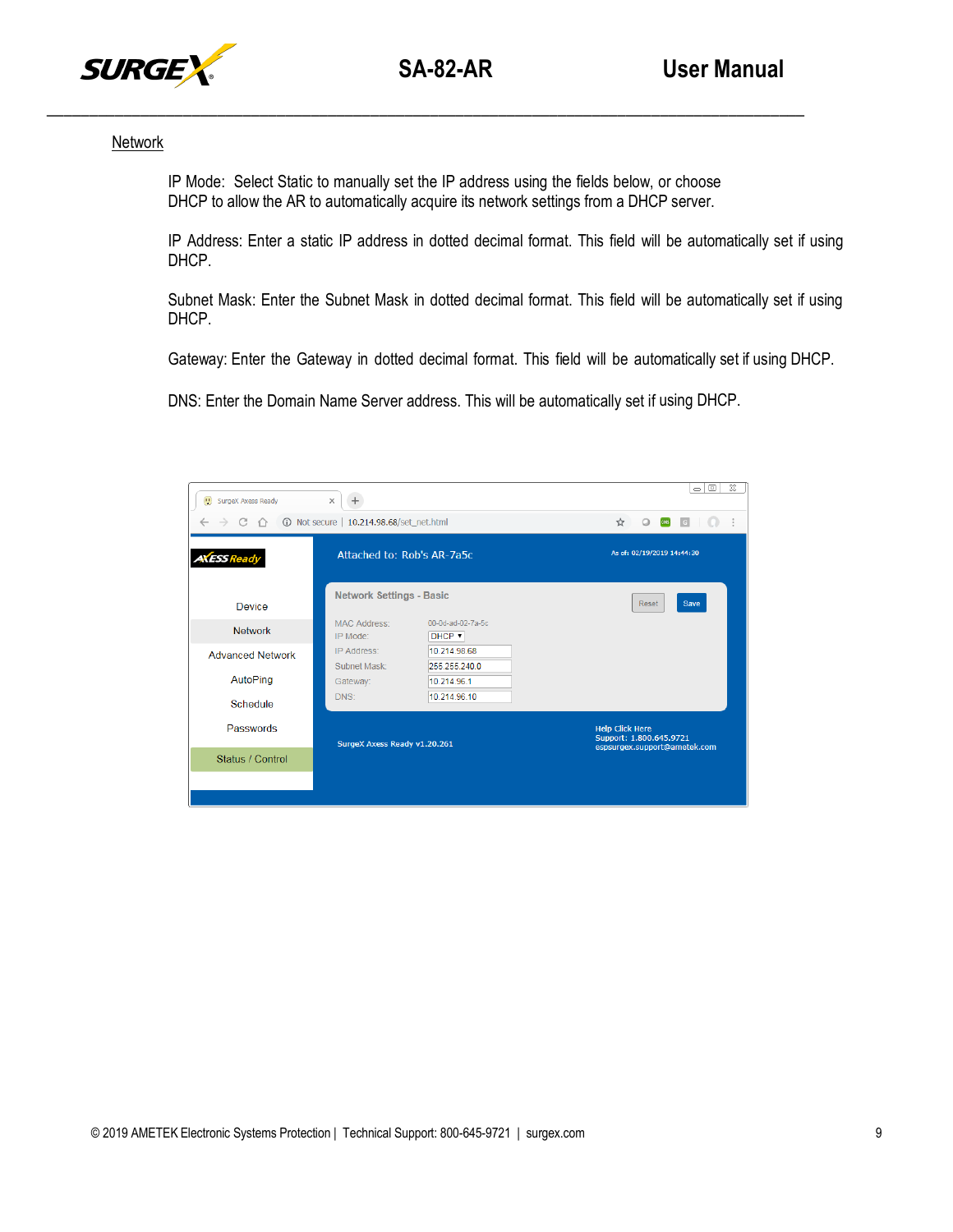

#### **Network**

IP Mode: Select Static to manually set the IP address using the fields below, or choose DHCP to allow the AR to automatically acquire its network settings from a DHCP server.

IP Address: Enter a static IP address in dotted decimal format. This field will be automatically set if using DHCP.

Subnet Mask: Enter the Subnet Mask in dotted decimal format. This field will be automatically set if using DHCP.

Gateway: Enter the Gateway in dotted decimal format. This field will be automatically set if using DHCP.

DNS: Enter the Domain Name Server address. This will be automatically set if using DHCP.

| SurgeX Axess Ready      | $\times$<br>$\ddot{}$           |                                                                                               | $\Sigma$<br>$\qquad \qquad \Box$<br>$\equiv$                                      |
|-------------------------|---------------------------------|-----------------------------------------------------------------------------------------------|-----------------------------------------------------------------------------------|
| C                       | 10.214.98.68/set_net.html       | $\begin{array}{ c c c c }\n\hline\n\text{cos}&\text{c}&\text{c}\n\end{array}$<br>☆<br>$\circ$ |                                                                                   |
| <b>AXESS Ready</b>      | Attached to: Rob's AR-7a5c      |                                                                                               | As of: 02/19/2019 14:44:30                                                        |
| <b>Device</b>           | <b>Network Settings - Basic</b> |                                                                                               | Save<br><b>Reset</b>                                                              |
| <b>Network</b>          | <b>MAC Address:</b><br>IP Mode: | 00-0d-ad-02-7a-5c<br>DHCP <b>v</b>                                                            |                                                                                   |
| <b>Advanced Network</b> | IP Address:<br>Subnet Mask:     | 10.214.98.68<br>255 255 240.0                                                                 |                                                                                   |
| AutoPing                | Gateway:                        | 10.214.96.1                                                                                   |                                                                                   |
| Schedule                | DNS:                            | 10.214.96.10                                                                                  |                                                                                   |
| Passwords               | SurgeX Axess Ready v1.20.261    |                                                                                               | <b>Help Click Here</b><br>Support: 1.800.645.9721<br>espsurgex.support@ametek.com |
| Status / Control        |                                 |                                                                                               |                                                                                   |
|                         |                                 |                                                                                               |                                                                                   |
|                         |                                 |                                                                                               |                                                                                   |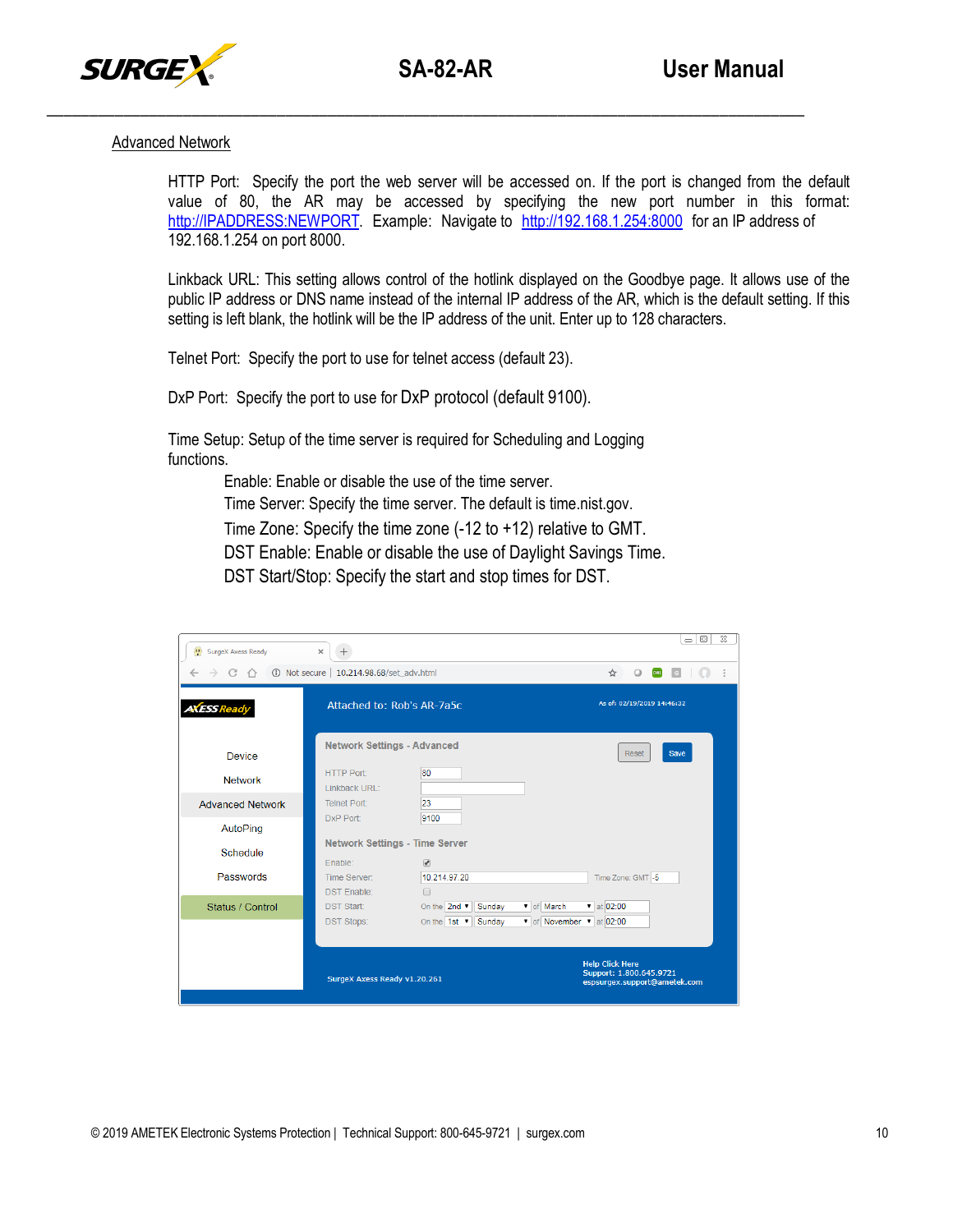

#### Advanced Network

HTTP Port: Specify the port the web server will be accessed on. If the port is changed from the default value of 80, the AR may be accessed by specifying the new port number in this format: [http://IPADDRESS:NEWPORT. E](http://IPADDRESS:NEWPORT/)xample: Navigate to [http://192.168.1.254:8000](http://192.168.1.254:8000/) for an IP address of 192.168.1.254 on port 8000.

Linkback URL: This setting allows control of the hotlink displayed on the Goodbye page. It allows use of the public IP address or DNS name instead of the internal IP address of the AR, which is the default setting. If this setting is left blank, the hotlink will be the IP address of the unit. Enter up to 128 characters.

Telnet Port: Specify the port to use for telnet access (default 23).

DxP Port: Specify the port to use for DxP protocol (default 9100).

Time Setup: Setup of the time server is required for Scheduling and Logging functions.

Enable: Enable or disable the use of the time server.

Time Server: Specify the time server. The default is time.nist.gov.

Time Zone: Specify the time zone (-12 to +12) relative to GMT.

DST Enable: Enable or disable the use of Daylight Savings Time.

DST Start/Stop: Specify the start and stop times for DST.

| <b>D</b> SurgeX Axess Ready                          | $\times$<br>$^{+}$                            |                                                                                   | $\Sigma$<br>$\qquad \qquad \Box$<br>$\equiv$ |
|------------------------------------------------------|-----------------------------------------------|-----------------------------------------------------------------------------------|----------------------------------------------|
| 10.214.98.68/set adv.html<br>C<br>∩<br>$\rightarrow$ |                                               |                                                                                   | ☆<br>coas<br>$\circ$<br>G                    |
| A <b>XESS</b> Ready                                  | Attached to: Rob's AR-7a5c                    |                                                                                   | As of: 02/19/2019 14:46:32                   |
| Device                                               | <b>Network Settings - Advanced</b>            |                                                                                   | Save<br>Reset                                |
| <b>Network</b>                                       | <b>HTTP Port:</b><br>Linkback URL:            | 80                                                                                |                                              |
| <b>Advanced Network</b>                              | <b>Telnet Port:</b>                           | 23                                                                                |                                              |
| AutoPing                                             | DxP Port:                                     | 9100                                                                              |                                              |
| Schedule                                             | <b>Network Settings - Time Server</b>         |                                                                                   |                                              |
| Passwords                                            | Fnable:<br>Time Server:<br><b>DST Enable:</b> | $\overline{\mathcal{C}}$<br>10 214 97 20<br>$\Box$                                | Time Zone: GMT -5                            |
| Status / Control                                     | <b>DST Start:</b>                             | On the $2nd$ $\blacktriangledown$<br>Sunday                                       | v of March<br>$\bullet$ at 02:00             |
|                                                      | <b>DST Stops:</b>                             | On the $1st$ $\blacktriangledown$<br>Sunday                                       | v of November v at 02:00                     |
| SurgeX Axess Ready v1.20.261                         |                                               | <b>Help Click Here</b><br>Support: 1.800.645.9721<br>espsurgex.support@ametek.com |                                              |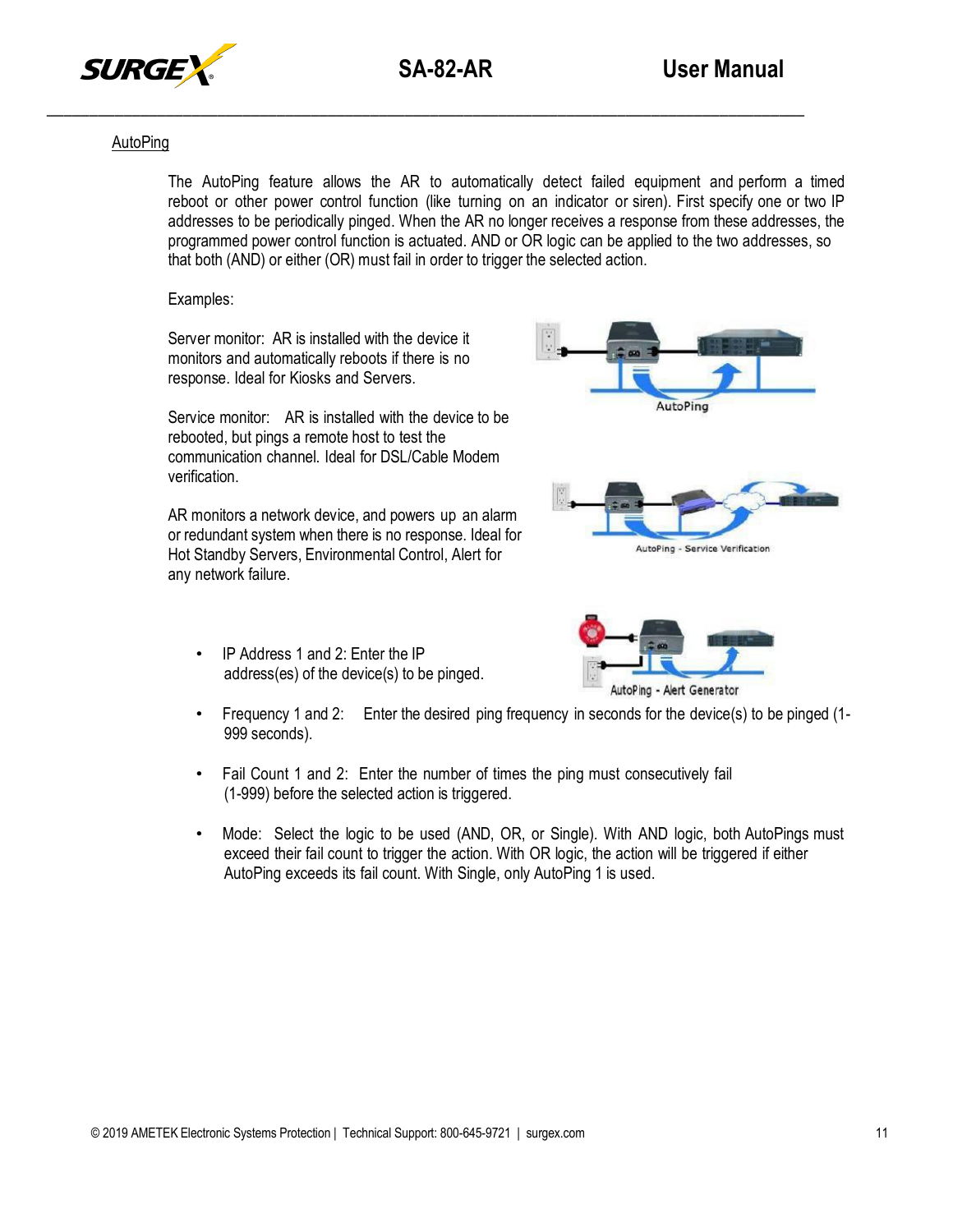

## AutoPing

The AutoPing feature allows the AR to automatically detect failed equipment and perform a timed reboot or other power control function (like turning on an indicator or siren). First specify one or two IP addresses to be periodically pinged. When the AR no longer receives a response from these addresses, the programmed power control function is actuated. AND or OR logic can be applied to the two addresses, so that both (AND) or either (OR) must fail in order to trigger the selected action.

Examples:

Server monitor: AR is installed with the device it monitors and automatically reboots if there is no response. Ideal for Kiosks and Servers.

Service monitor: AR is installed with the device to be rebooted, but pings a remote host to test the communication channel. Ideal for DSL/Cable Modem verification.

AR monitors a network device, and powers up an alarm or redundant system when there is no response. Ideal for Hot Standby Servers, Environmental Control, Alert for any network failure.

• IP Address 1 and 2: Enter the IP address(es) of the device(s) to be pinged.



AutoPing - Service Verification



• Frequency 1 and 2: Enter the desired ping frequency in seconds for the device(s) to be pinged (1-999 seconds).

- Fail Count 1 and 2: Enter the number of times the ping must consecutively fail (1-999) before the selected action is triggered.
- Mode: Select the logic to be used (AND, OR, or Single). With AND logic, both AutoPings must exceed their fail count to trigger the action. With OR logic, the action will be triggered if either AutoPing exceeds its fail count. With Single, only AutoPing 1 is used.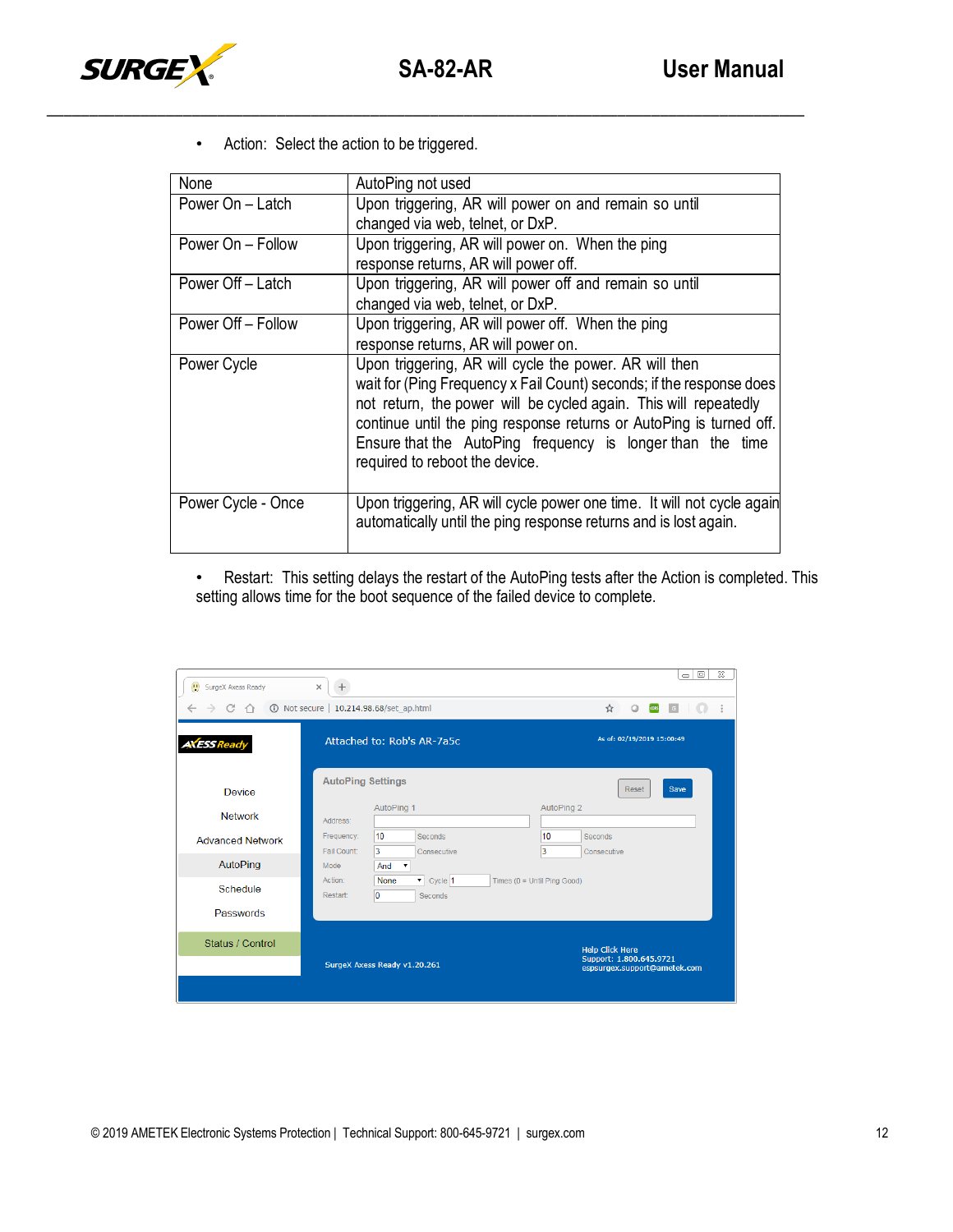

• Action: Select the action to be triggered.

| None               | AutoPing not used                                                                                                                                                                                                                                                                                                                                                         |
|--------------------|---------------------------------------------------------------------------------------------------------------------------------------------------------------------------------------------------------------------------------------------------------------------------------------------------------------------------------------------------------------------------|
| Power On - Latch   | Upon triggering, AR will power on and remain so until                                                                                                                                                                                                                                                                                                                     |
|                    | changed via web, telnet, or DxP.                                                                                                                                                                                                                                                                                                                                          |
| Power On - Follow  | Upon triggering, AR will power on. When the ping                                                                                                                                                                                                                                                                                                                          |
|                    | response returns, AR will power off.                                                                                                                                                                                                                                                                                                                                      |
| Power Off - Latch  | Upon triggering, AR will power off and remain so until                                                                                                                                                                                                                                                                                                                    |
|                    | changed via web, telnet, or DxP.                                                                                                                                                                                                                                                                                                                                          |
| Power Off - Follow | Upon triggering, AR will power off. When the ping                                                                                                                                                                                                                                                                                                                         |
|                    | response returns, AR will power on.                                                                                                                                                                                                                                                                                                                                       |
| Power Cycle        | Upon triggering, AR will cycle the power. AR will then<br>wait for (Ping Frequency x Fail Count) seconds; if the response does<br>not return, the power will be cycled again. This will repeatedly<br>continue until the ping response returns or AutoPing is turned off.<br>Ensure that the AutoPing frequency is longer than the time<br>required to reboot the device. |
| Power Cycle - Once | Upon triggering, AR will cycle power one time. It will not cycle again<br>automatically until the ping response returns and is lost again.                                                                                                                                                                                                                                |

• Restart: This setting delays the restart of the AutoPing tests after the Action is completed. This setting allows time for the boot sequence of the failed device to complete.

| (1) SurgeX Axess Ready  | $\times$                  |                                            |                               |                                                                                   | $\Sigma$<br>$\Box$<br>$\equiv$ |
|-------------------------|---------------------------|--------------------------------------------|-------------------------------|-----------------------------------------------------------------------------------|--------------------------------|
| C                       | 10.214.98.68/set_ap.html  |                                            |                               | ☆<br>coas                                                                         | G                              |
| <b>AXESS Ready</b>      |                           | Attached to: Rob's AR-7a5c                 |                               | As of: 02/19/2019 15:00:49                                                        |                                |
| <b>Device</b>           | <b>AutoPing Settings</b>  | AutoPing 1                                 | AutoPing 2                    | Reset                                                                             | Save                           |
| <b>Network</b>          | Address:                  |                                            |                               |                                                                                   |                                |
| <b>Advanced Network</b> | Frequency:<br>Fail Count: | 10<br>Seconds<br>3<br>Consecutive          | 10<br>3                       | Seconds<br>Consecutive                                                            |                                |
| AutoPing                | Mode                      | And<br>$\pmb{\mathrm{v}}$                  |                               |                                                                                   |                                |
| Schedule                | Action:<br>Restart:       | $\bullet$ Cycle 1<br>None<br>10<br>Seconds | Times $(0 =$ Until Ping Good) |                                                                                   |                                |
| Passwords               |                           |                                            |                               |                                                                                   |                                |
| Status / Control        |                           | SurgeX Axess Ready v1.20.261               |                               | <b>Help Click Here</b><br>Support: 1.800.645.9721<br>espsurgex.support@ametek.com |                                |
|                         |                           |                                            |                               |                                                                                   |                                |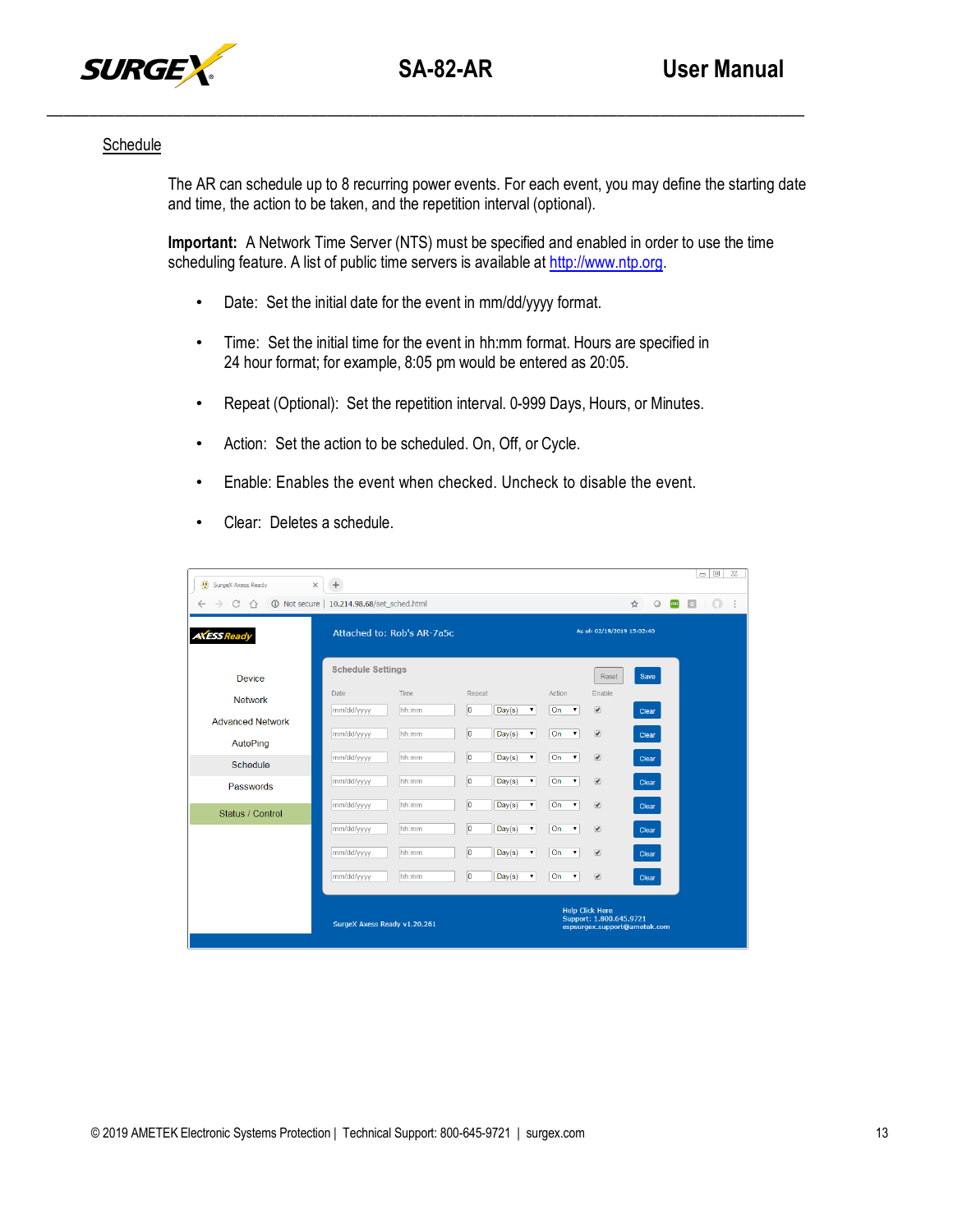

#### **Schedule**

The AR can schedule up to 8 recurring power events. For each event, you may define the starting date and time, the action to be taken, and the repetition interval (optional).

**Important:** A Network Time Server (NTS) must be specified and enabled in order to use the time scheduling feature. A list of public time servers is available at [http://www.ntp.org.](http://www.ntp.org/)

- Date: Set the initial date for the event in mm/dd/yyyy format.
- Time: Set the initial time for the event in hh:mm format. Hours are specified in 24 hour format; for example, 8:05 pm would be entered as 20:05.
- Repeat (Optional): Set the repetition interval. 0-999 Days, Hours, or Minutes.
- Action: Set the action to be scheduled. On, Off, or Cycle.
- Enable: Enables the event when checked. Uncheck to disable the event.

| $\times$<br>SurgeX Axess Ready | $^{+}$                       |               |             |        |    |                                    |                                                                                   |   |         |             | $\equiv$     | $\qquad \qquad \Box$ | $\Sigma$ |
|--------------------------------|------------------------------|---------------|-------------|--------|----|------------------------------------|-----------------------------------------------------------------------------------|---|---------|-------------|--------------|----------------------|----------|
| C<br>$\leftarrow$<br>→<br>イト   | 10.214.98.68/set_sched.html  |               |             |        |    |                                    |                                                                                   | ☆ | $\circ$ | <b>CORS</b> | G<br>$\circ$ |                      |          |
| <b>AXESS Ready</b>             | Attached to: Rob's AR-7a5c   |               |             |        |    |                                    | As of: 02/19/2019 15:02:40                                                        |   |         |             |              |                      |          |
| Device                         | <b>Schedule Settings</b>     |               |             |        |    |                                    | Reset                                                                             |   | Save    |             |              |                      |          |
| <b>Network</b>                 | Date                         | Time<br>hh:mm | Repeat<br>o |        | ۷. | Action<br>On<br>$\pmb{\mathrm{v}}$ | Enable<br>$\overline{\mathcal{C}}$                                                |   |         |             |              |                      |          |
| <b>Advanced Network</b>        | mm/dd/yyyy                   |               |             | Day(s) |    |                                    |                                                                                   |   | Clear   |             |              |                      |          |
| AutoPing                       | mm/dd/yyyy                   | hh:mm         | o           | Day(s) | ۳  | On<br>$\pmb{\mathrm{v}}$           | $\overline{\mathcal{C}}$                                                          |   | Clear   |             |              |                      |          |
| Schedule                       | mm/dd/yyyy                   | hh:mm         | o           | Day(s) | ۷  | On<br>$\pmb{\mathrm{v}}$           | $\overline{\mathcal{L}}$                                                          |   | Clear   |             |              |                      |          |
| Passwords                      | mm/dd/yyyy                   | hh:mm         | o           | Day(s) | ۷. | On<br>$\pmb{\mathrm{v}}$           | $\overline{\mathcal{C}}$                                                          |   | Clear   |             |              |                      |          |
| Status / Control               | mm/dd/yyyy                   | hh:mm         | O           | Day(s) | ۷  | On<br>$\pmb{\mathrm{v}}$           | $\overline{\mathcal{C}}$                                                          |   | Clear   |             |              |                      |          |
|                                | mm/dd/yyyy                   | hh:mm         | lo.         | Day(s) | ۳  | On<br>$\pmb{\mathrm{v}}$           | $\overline{\mathcal{C}}$                                                          |   | Clear   |             |              |                      |          |
|                                | mm/dd/yyyy                   | hh:mm         | o           | Day(s) | ۷. | On<br>$\pmb{\mathrm{v}}$           | $\overline{\mathcal{L}}$                                                          |   | Clear   |             |              |                      |          |
|                                | mm/dd/yyyy                   | hh:mm         | o           | Day(s) | ۷  | On<br>$\mathbf v$                  | $\overline{\mathcal{C}}$                                                          |   | Clear   |             |              |                      |          |
|                                | SurgeX Axess Ready v1.20.261 |               |             |        |    |                                    | <b>Help Click Here</b><br>Support: 1.800.645.9721<br>espsurgex.support@ametek.com |   |         |             |              |                      |          |

• Clear: Deletes a schedule.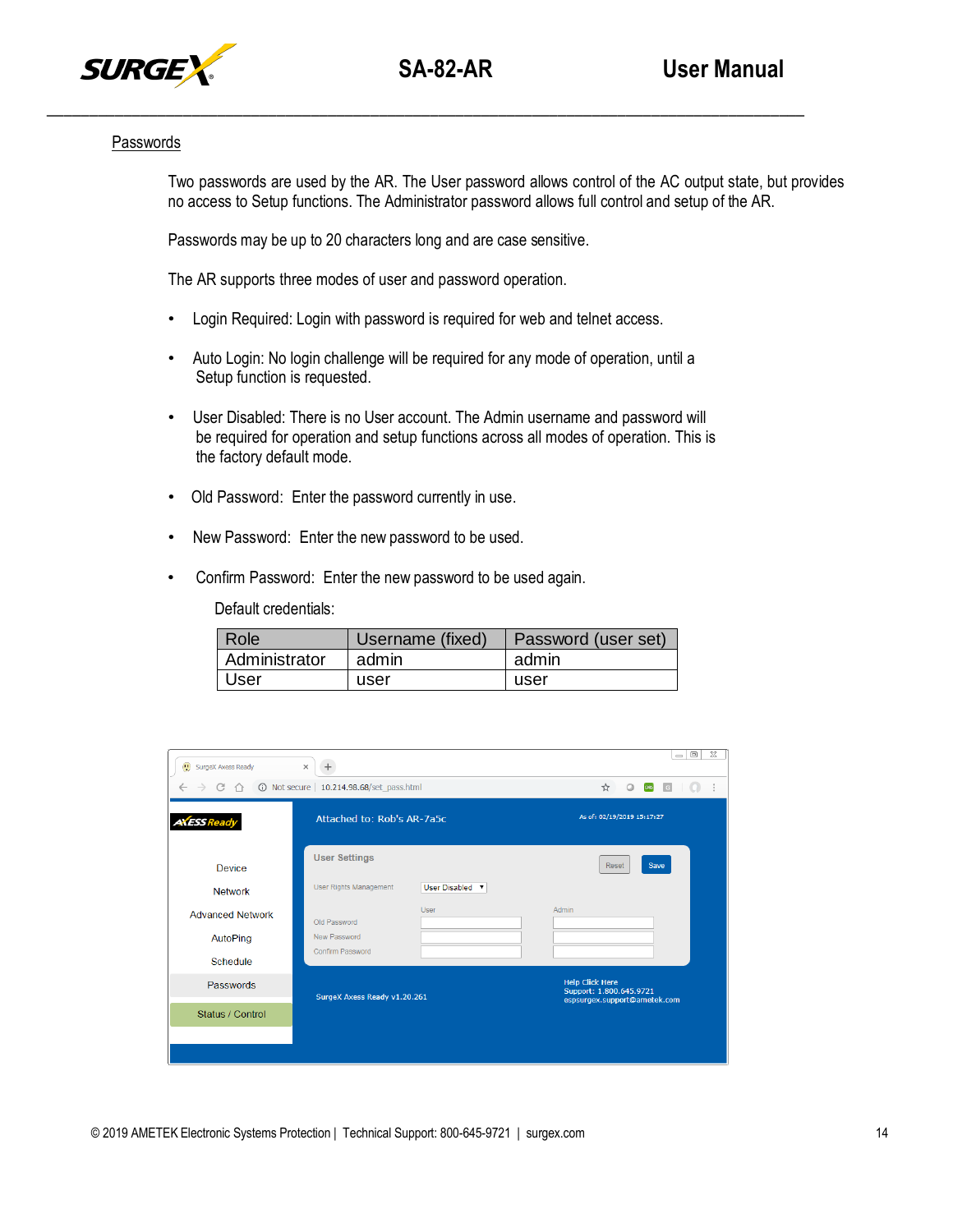

#### Passwords

Two passwords are used by the AR. The User password allows control of the AC output state, but provides no access to Setup functions. The Administrator password allows full control and setup of the AR.

Passwords may be up to 20 characters long and are case sensitive.

The AR supports three modes of user and password operation.

- Login Required: Login with password is required for web and telnet access.
- Auto Login: No login challenge will be required for any mode of operation, until a Setup function is requested.
- User Disabled: There is no User account. The Admin username and password will be required for operation and setup functions across all modes of operation. This is the factory default mode.
- Old Password: Enter the password currently in use.
- New Password: Enter the new password to be used.
- Confirm Password: Enter the new password to be used again.

Default credentials:

| I Role        | Username (fixed) | Password (user set) |
|---------------|------------------|---------------------|
| Administrator | admin            | admin               |
| User          | user             | user                |

| 靊<br>SurgeX Axess Ready | $\times$<br>$+$                                  | ▣<br>$^{22}$<br>$\Rightarrow$                     |
|-------------------------|--------------------------------------------------|---------------------------------------------------|
| G<br>介                  | 10.214.98.68/set_pass.html                       | coas<br>☆<br>$\circ$<br>$\sqrt{a}$                |
| <b>AXESS Ready</b>      | Attached to: Rob's AR-7a5c                       | As of: 02/19/2019 15:17:27                        |
| Device                  | <b>User Settings</b>                             | Save<br>Reset                                     |
| <b>Network</b>          | User Disabled v<br><b>User Rights Management</b> |                                                   |
| <b>Advanced Network</b> | User<br>Old Password                             | <b>Admin</b>                                      |
| AutoPing                | New Password<br>Confirm Password                 |                                                   |
| Schedule                |                                                  |                                                   |
| Passwords               | SurgeX Axess Ready v1.20.261                     | <b>Help Click Here</b><br>Support: 1.800.645.9721 |
| Status / Control        |                                                  | espsurgex.support@ametek.com                      |
|                         |                                                  |                                                   |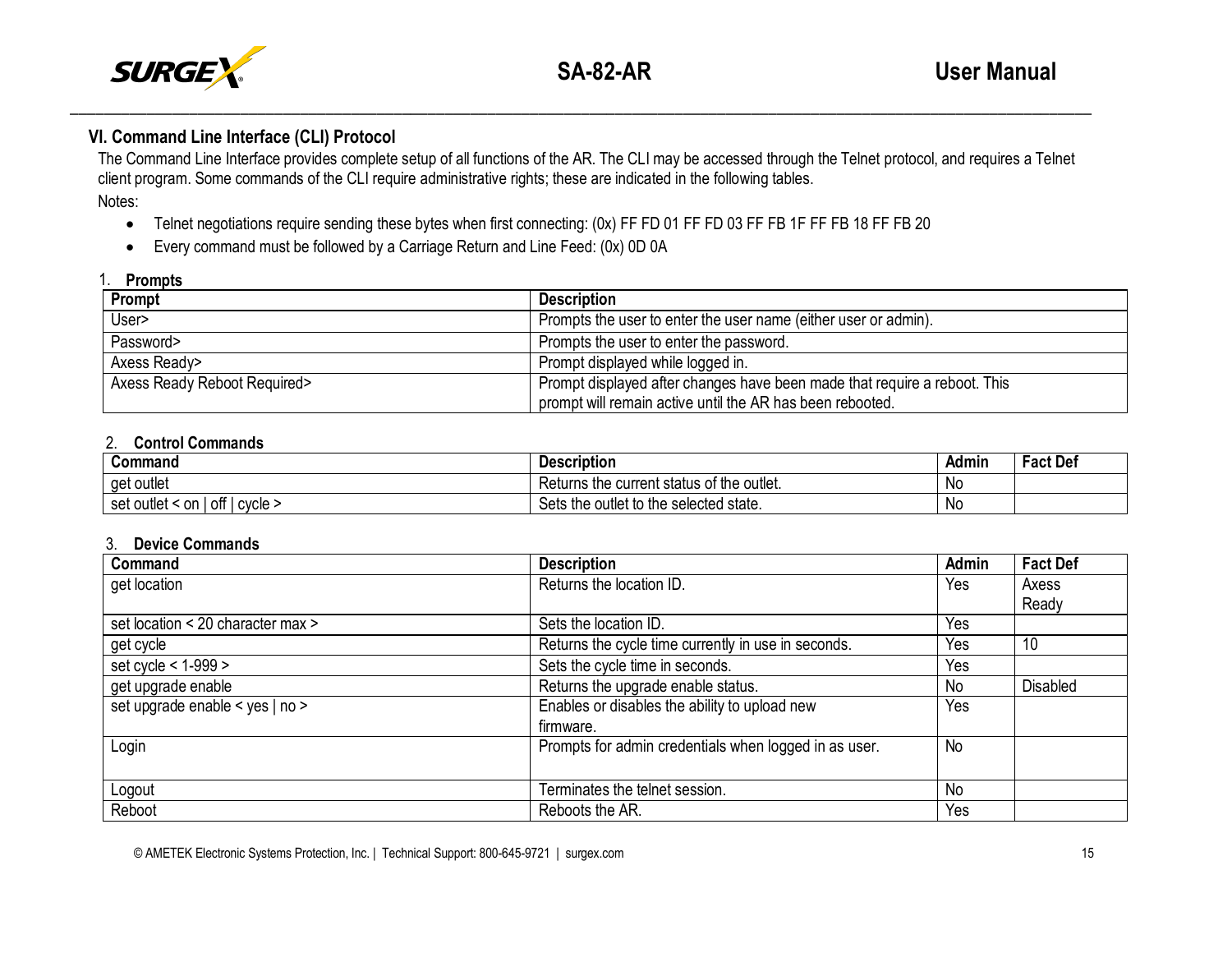

# **VI. Command Line Interface (CLI) Protocol**

The Command Line Interface provides complete setup of all functions of the AR. The CLI may be accessed through the Telnet protocol, and requires a Telnet client program. Some commands of the CLI require administrative rights; these are indicated in the following tables. Notes:

\_\_\_\_\_\_\_\_\_\_\_\_\_\_\_\_\_\_\_\_\_\_\_\_\_\_\_\_\_\_\_\_\_\_\_\_\_\_\_\_\_\_\_\_\_\_\_\_\_\_\_\_\_\_\_\_\_\_\_\_\_\_\_\_\_\_\_\_\_\_\_\_\_\_\_\_\_\_\_\_\_\_\_\_\_\_\_\_\_\_\_\_\_\_\_\_\_\_\_\_\_\_\_\_\_\_\_\_\_\_\_\_\_\_\_\_\_\_\_\_

- Telnet negotiations require sending these bytes when first connecting: (0x) FF FD 01 FF FD 03 FF FB 1F FF FB 18 FF FB 20
- Every command must be followed by a Carriage Return and Line Feed: (0x) 0D 0A

#### 1. **Prompts**

| .                            |                                                                           |
|------------------------------|---------------------------------------------------------------------------|
| Prompt                       | <b>Description</b>                                                        |
| User>                        | Prompts the user to enter the user name (either user or admin).           |
| Password>                    | Prompts the user to enter the password.                                   |
| Axess Ready>                 | Prompt displayed while logged in.                                         |
| Axess Ready Reboot Required> | Prompt displayed after changes have been made that require a reboot. This |
|                              | prompt will remain active until the AR has been rebooted.                 |

## 2. **Control Commands**

| Command                                                   | . .<br><b>Description</b>                                    | Admin | <b>Fact Def</b> |
|-----------------------------------------------------------|--------------------------------------------------------------|-------|-----------------|
| outlet<br>aet                                             | of the ن<br>outlet.<br>Returns<br>s the current :<br>∶status | N0    |                 |
| <br>ott<br>∶on<br>$\sim$<br>outlet<br>set<br><b>UVUIT</b> | e outlet to the selected state.<br>Sets<br>the               | .No   |                 |

## 3. **Device Commands**

| Command                           | <b>Description</b>                                    | <b>Admin</b> | <b>Fact Def</b> |
|-----------------------------------|-------------------------------------------------------|--------------|-----------------|
| get location                      | Returns the location ID.                              | Yes          | Axess           |
|                                   |                                                       |              | Ready           |
| set location < 20 character max > | Sets the location ID.                                 | Yes          |                 |
| get cycle                         | Returns the cycle time currently in use in seconds.   | Yes          | 10              |
| set cycle < 1-999 >               | Sets the cycle time in seconds.                       | Yes          |                 |
| get upgrade enable                | Returns the upgrade enable status.                    | No           | <b>Disabled</b> |
| set upgrade enable < yes   no >   | Enables or disables the ability to upload new         | Yes          |                 |
|                                   | firmware.                                             |              |                 |
| Login                             | Prompts for admin credentials when logged in as user. | <b>No</b>    |                 |
|                                   |                                                       |              |                 |
| Logout                            | Terminates the telnet session.                        | No           |                 |
| Reboot                            | Reboots the AR.                                       | Yes          |                 |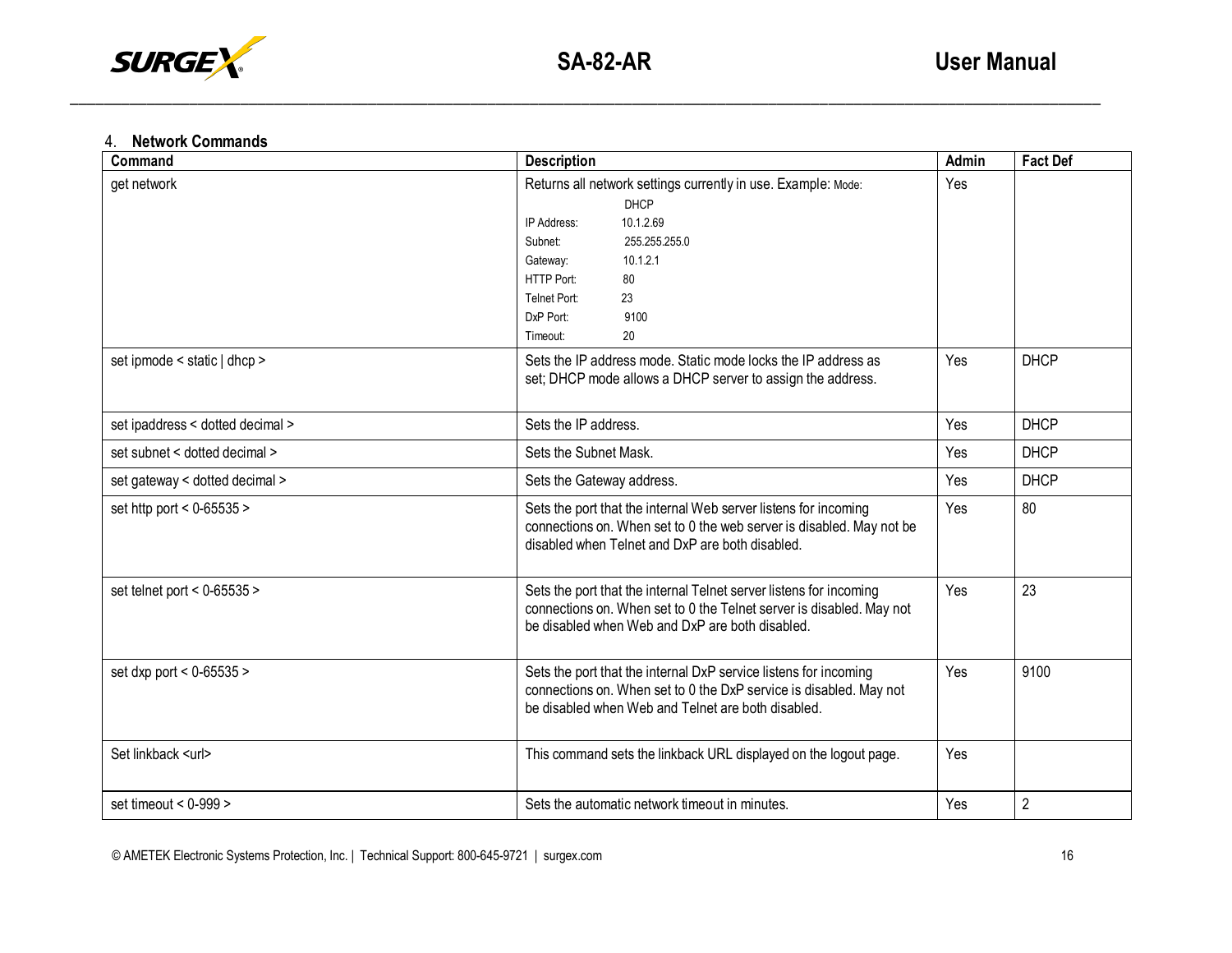

\_\_\_\_\_\_\_\_\_\_\_\_\_\_\_\_\_\_\_\_\_\_\_\_\_\_\_\_\_\_\_\_\_\_\_\_\_\_\_\_\_\_\_\_\_\_\_\_\_\_\_\_\_\_\_\_\_\_\_\_\_\_\_\_\_\_\_\_\_\_\_\_\_\_\_\_\_\_\_\_\_\_\_\_\_\_\_\_\_\_\_\_\_\_\_\_\_\_\_\_\_\_\_\_\_\_\_\_\_\_\_\_\_\_\_\_\_\_\_\_\_

# 4. **Network Commands**

| Command                          | <b>Description</b>                                                                                                                                                                                                                            | <b>Admin</b> | <b>Fact Def</b> |
|----------------------------------|-----------------------------------------------------------------------------------------------------------------------------------------------------------------------------------------------------------------------------------------------|--------------|-----------------|
| get network                      | Returns all network settings currently in use. Example: Mode:<br><b>DHCP</b><br>10.1.2.69<br>IP Address:<br>Subnet:<br>255.255.255.0<br>10.1.2.1<br>Gateway:<br>HTTP Port:<br>80<br>Telnet Port:<br>23<br>DxP Port:<br>9100<br>20<br>Timeout: | Yes          |                 |
| set ipmode < static   dhcp >     | Sets the IP address mode. Static mode locks the IP address as<br>set; DHCP mode allows a DHCP server to assign the address.                                                                                                                   | Yes          | <b>DHCP</b>     |
| set ipaddress < dotted decimal > | Sets the IP address.                                                                                                                                                                                                                          |              | <b>DHCP</b>     |
| set subnet < dotted decimal >    | Sets the Subnet Mask.                                                                                                                                                                                                                         |              | <b>DHCP</b>     |
| set gateway < dotted decimal >   | Sets the Gateway address.                                                                                                                                                                                                                     | Yes          | <b>DHCP</b>     |
| set http port < $0 - 65535$ >    | Sets the port that the internal Web server listens for incoming<br>connections on. When set to 0 the web server is disabled. May not be<br>disabled when Telnet and DxP are both disabled.                                                    |              | 80              |
| set telnet port < $0-65535$ >    | Sets the port that the internal Telnet server listens for incoming<br>connections on. When set to 0 the Telnet server is disabled. May not<br>be disabled when Web and DxP are both disabled.                                                 |              | 23              |
| set dxp port < $0 - 65535$ >     | Sets the port that the internal DxP service listens for incoming<br>connections on. When set to 0 the DxP service is disabled. May not<br>be disabled when Web and Telnet are both disabled.                                                  |              | 9100            |
| Set linkback <url></url>         | This command sets the linkback URL displayed on the logout page.                                                                                                                                                                              | Yes          |                 |
| set timeout < $0-999$ >          | Sets the automatic network timeout in minutes.                                                                                                                                                                                                |              | $\overline{2}$  |

© AMETEK Electronic Systems Protection, Inc. | Technical Support: 800-645-9721 | surgex.com 16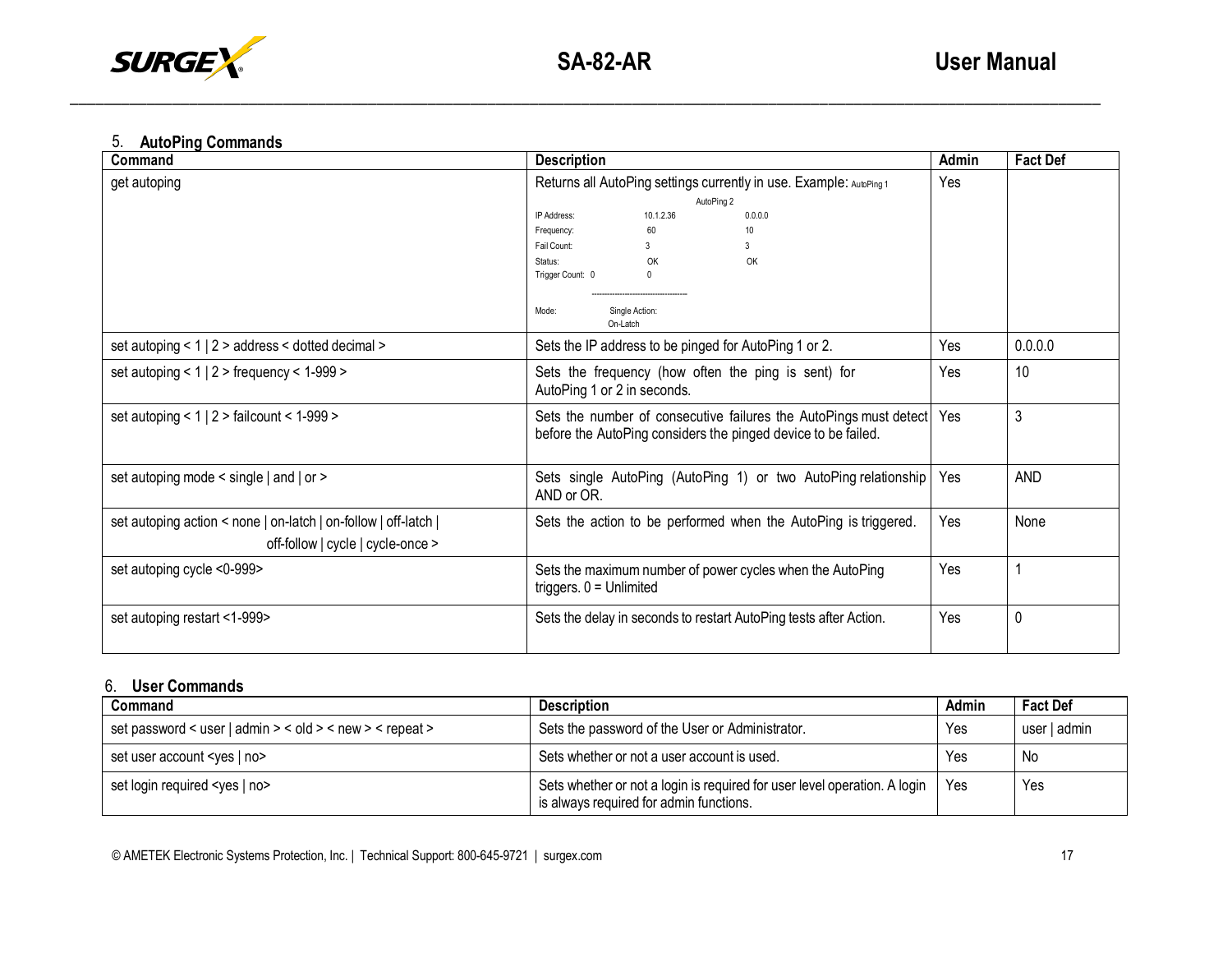

\_\_\_\_\_\_\_\_\_\_\_\_\_\_\_\_\_\_\_\_\_\_\_\_\_\_\_\_\_\_\_\_\_\_\_\_\_\_\_\_\_\_\_\_\_\_\_\_\_\_\_\_\_\_\_\_\_\_\_\_\_\_\_\_\_\_\_\_\_\_\_\_\_\_\_\_\_\_\_\_\_\_\_\_\_\_\_\_\_\_\_\_\_\_\_\_\_\_\_\_\_\_\_\_\_\_\_\_\_\_\_\_\_\_\_\_\_\_\_\_\_

# 5. **AutoPing Commands**

| Command                                                                                              | <b>Description</b>                                                                                                                 | Admin | <b>Fact Def</b> |
|------------------------------------------------------------------------------------------------------|------------------------------------------------------------------------------------------------------------------------------------|-------|-----------------|
| get autoping                                                                                         | Returns all AutoPing settings currently in use. Example: AutoPing 1<br>AutoPing 2<br>IP Address:<br>10.1.2.36<br>0.0.0.0           | Yes   |                 |
|                                                                                                      | 10 <sup>10</sup><br>Frequency:<br>60                                                                                               |       |                 |
|                                                                                                      | Fail Count:<br>3<br>3                                                                                                              |       |                 |
|                                                                                                      | OK<br>Status:<br>OK                                                                                                                |       |                 |
|                                                                                                      | Trigger Count: 0<br>$\mathbf{0}$                                                                                                   |       |                 |
|                                                                                                      |                                                                                                                                    |       |                 |
|                                                                                                      | Single Action:<br>Mode:<br>On-Latch                                                                                                |       |                 |
| set autoping < 1   2 > address < dotted decimal >                                                    | Sets the IP address to be pinged for AutoPing 1 or 2.                                                                              | Yes   | 0.0.0.0         |
| set autoping < $1 \mid 2$ > frequency < $1-999$ >                                                    | Sets the frequency (how often the ping is sent) for<br>AutoPing 1 or 2 in seconds.                                                 |       | 10              |
| set autoping < $1 \mid 2$ > failcount < $1-999$ >                                                    | Sets the number of consecutive failures the AutoPings must detect<br>before the AutoPing considers the pinged device to be failed. |       | 3               |
| set autoping mode < single   and   or >                                                              | Sets single AutoPing (AutoPing 1) or two AutoPing relationship<br>AND or OR.                                                       | Yes   | <b>AND</b>      |
| set autoping action < none   on-latch   on-follow   off-latch  <br>off-follow   cycle   cycle-once > | Sets the action to be performed when the AutoPing is triggered.                                                                    |       | None            |
|                                                                                                      |                                                                                                                                    |       |                 |
| set autoping cycle <0-999>                                                                           | Sets the maximum number of power cycles when the AutoPing<br>triggers. $0 =$ Unlimited                                             |       |                 |
| set autoping restart <1-999>                                                                         | Yes<br>Sets the delay in seconds to restart AutoPing tests after Action.                                                           |       | 0               |

# 6. **User Commands**

| Command                                                  | <b>Description</b>                                                                                                   | Admin | <b>Fact Def</b> |
|----------------------------------------------------------|----------------------------------------------------------------------------------------------------------------------|-------|-----------------|
| set password < user   admin > < old > < new > < repeat > | Sets the password of the User or Administrator.                                                                      | Yes   | user   admin    |
| set user account <yes no=""  =""></yes>                  | Sets whether or not a user account is used.                                                                          | Yes   | No              |
| set login required <yes no=""  =""></yes>                | Sets whether or not a login is required for user level operation. A login<br>is always required for admin functions. | l Yes | Yes             |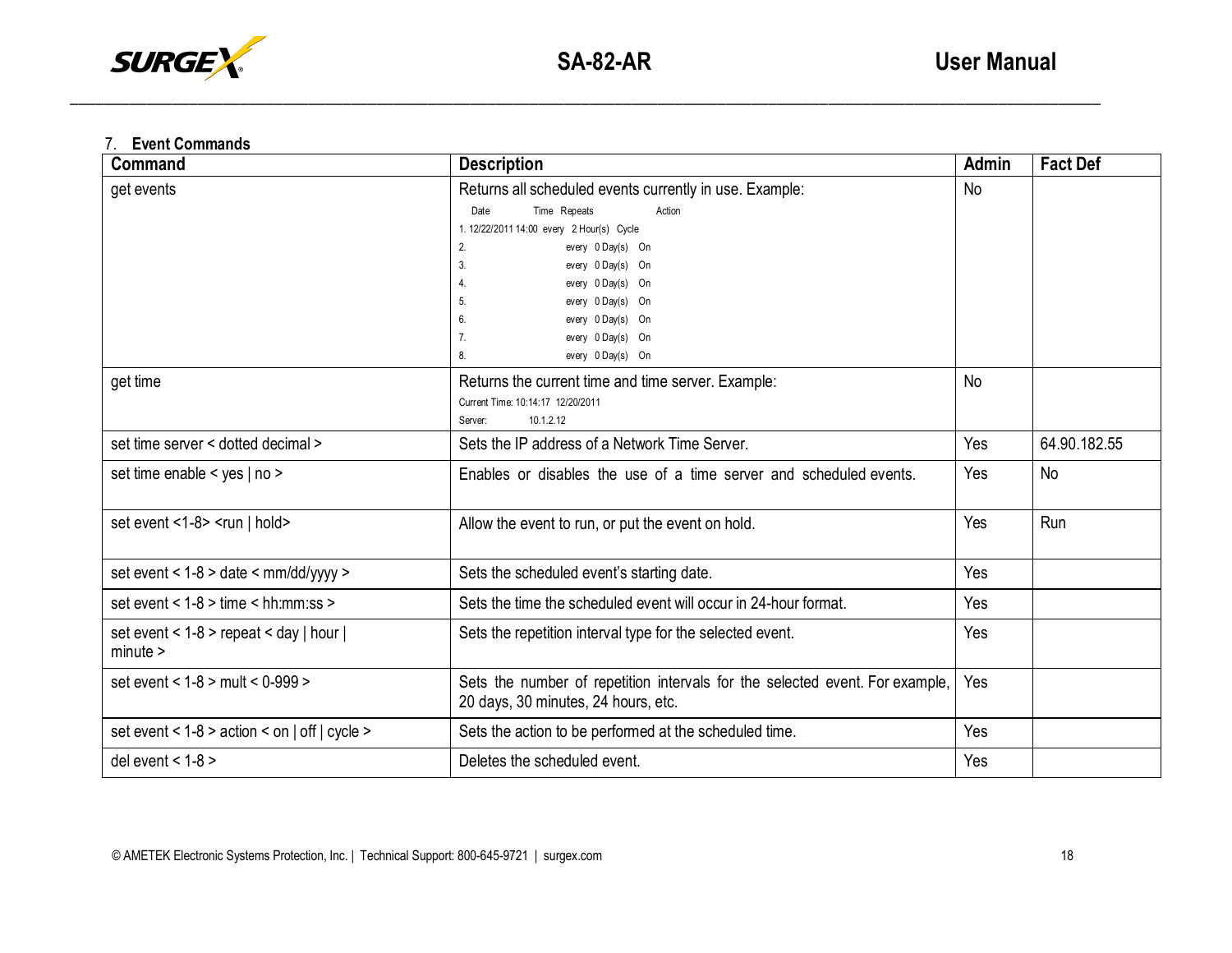

\_\_\_\_\_\_\_\_\_\_\_\_\_\_\_\_\_\_\_\_\_\_\_\_\_\_\_\_\_\_\_\_\_\_\_\_\_\_\_\_\_\_\_\_\_\_\_\_\_\_\_\_\_\_\_\_\_\_\_\_\_\_\_\_\_\_\_\_\_\_\_\_\_\_\_\_\_\_\_\_\_\_\_\_\_\_\_\_\_\_\_\_\_\_\_\_\_\_\_\_\_\_\_\_\_\_\_\_\_\_\_\_\_\_\_\_\_\_\_\_\_

# 7. **Event Commands**

| Command                                                 | <b>Description</b>                                                                                                                                                                                                                                                                                                                  | Admin     | <b>Fact Def</b> |
|---------------------------------------------------------|-------------------------------------------------------------------------------------------------------------------------------------------------------------------------------------------------------------------------------------------------------------------------------------------------------------------------------------|-----------|-----------------|
| get events                                              | Returns all scheduled events currently in use. Example:<br>Date<br>Time Repeats<br>Action<br>1. 12/22/2011 14:00 every 2 Hour(s) Cycle<br>2.<br>every 0 Day(s) On<br>every 0 Day(s) On<br>3.<br>every 0 Day(s) On<br>4.<br>every 0 Day(s) On<br>5.<br>6.<br>every 0 Day(s) On<br>every 0 Day(s) On<br>7.<br>8.<br>every 0 Day(s) On | <b>No</b> |                 |
| get time                                                | Returns the current time and time server. Example:<br>Current Time: 10:14:17 12/20/2011<br>10.1.2.12<br>Server:                                                                                                                                                                                                                     | <b>No</b> |                 |
| set time server < dotted decimal >                      | Sets the IP address of a Network Time Server.                                                                                                                                                                                                                                                                                       | Yes       | 64.90.182.55    |
| set time enable < yes   no >                            | Enables or disables the use of a time server and scheduled events.                                                                                                                                                                                                                                                                  | Yes       | No              |
| set event <1-8> < $run$   hold>                         | Allow the event to run, or put the event on hold.                                                                                                                                                                                                                                                                                   | Yes       | Run             |
| set event < 1-8 > date < mm/dd/yyyy >                   | Sets the scheduled event's starting date.                                                                                                                                                                                                                                                                                           | Yes       |                 |
| set event < $1-8$ > time < hh:mm:ss >                   | Sets the time the scheduled event will occur in 24-hour format.                                                                                                                                                                                                                                                                     | Yes       |                 |
| set event < $1-8$ > repeat < day   hour  <br>$minute$ > | Sets the repetition interval type for the selected event.                                                                                                                                                                                                                                                                           | Yes       |                 |
| set event < 1-8 > mult < 0-999 >                        | Sets the number of repetition intervals for the selected event. For example,<br>20 days, 30 minutes, 24 hours, etc.                                                                                                                                                                                                                 | Yes       |                 |
| set event < $1-8$ > action < on   off   cycle >         | Sets the action to be performed at the scheduled time.                                                                                                                                                                                                                                                                              | Yes       |                 |
| del event < $1-8$ >                                     | Deletes the scheduled event.                                                                                                                                                                                                                                                                                                        | Yes       |                 |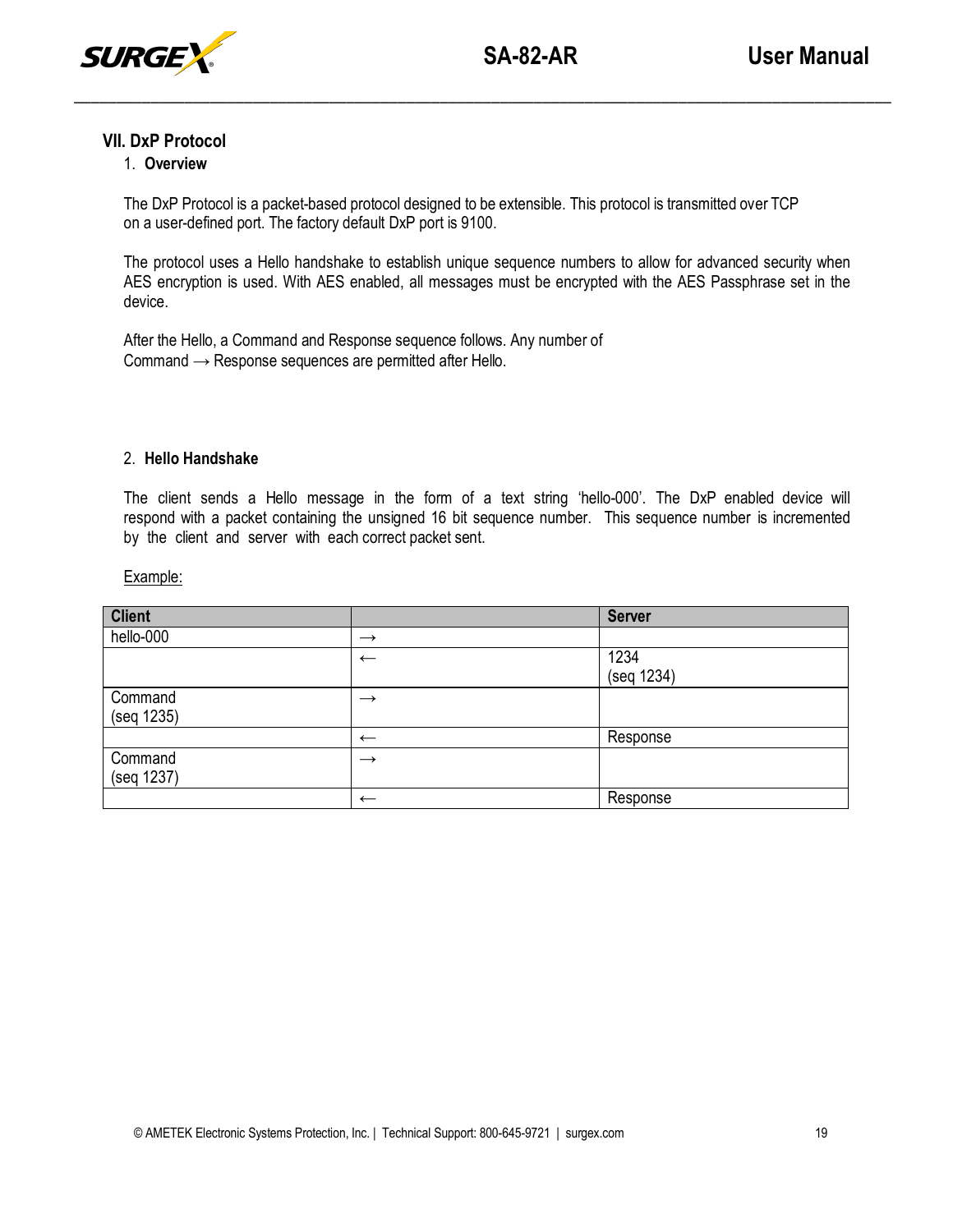

## **VII. DxP Protocol**

# 1. **Overview**

The DxP Protocol is a packet-based protocol designed to be extensible. This protocol is transmitted over TCP on a user-defined port. The factory default DxP port is 9100.

\_\_\_\_\_\_\_\_\_\_\_\_\_\_\_\_\_\_\_\_\_\_\_\_\_\_\_\_\_\_\_\_\_\_\_\_\_\_\_\_\_\_\_\_\_\_\_\_\_\_\_\_\_\_\_\_\_\_\_\_\_\_\_\_\_\_\_\_\_\_\_\_\_\_\_\_\_\_\_\_\_\_\_\_\_\_\_\_\_\_\_\_\_\_\_\_

The protocol uses a Hello handshake to establish unique sequence numbers to allow for advanced security when AES encryption is used. With AES enabled, all messages must be encrypted with the AES Passphrase set in the device.

After the Hello, a Command and Response sequence follows. Any number of Command  $\rightarrow$  Response sequences are permitted after Hello.

## 2. **Hello Handshake**

The client sends a Hello message in the form of a text string 'hello-000'. The DxP enabled device will respond with a packet containing the unsigned 16 bit sequence number. This sequence number is incremented by the client and server with each correct packet sent.

## Example:

| <b>Client</b> |               | <b>Server</b> |
|---------------|---------------|---------------|
| hello-000     | $\rightarrow$ |               |
|               | $\leftarrow$  | 1234          |
|               |               | (seq 1234)    |
| Command       | $\rightarrow$ |               |
| (seq 1235)    |               |               |
|               | $\leftarrow$  | Response      |
| Command       | $\rightarrow$ |               |
| (seq 1237)    |               |               |
|               | $\leftarrow$  | Response      |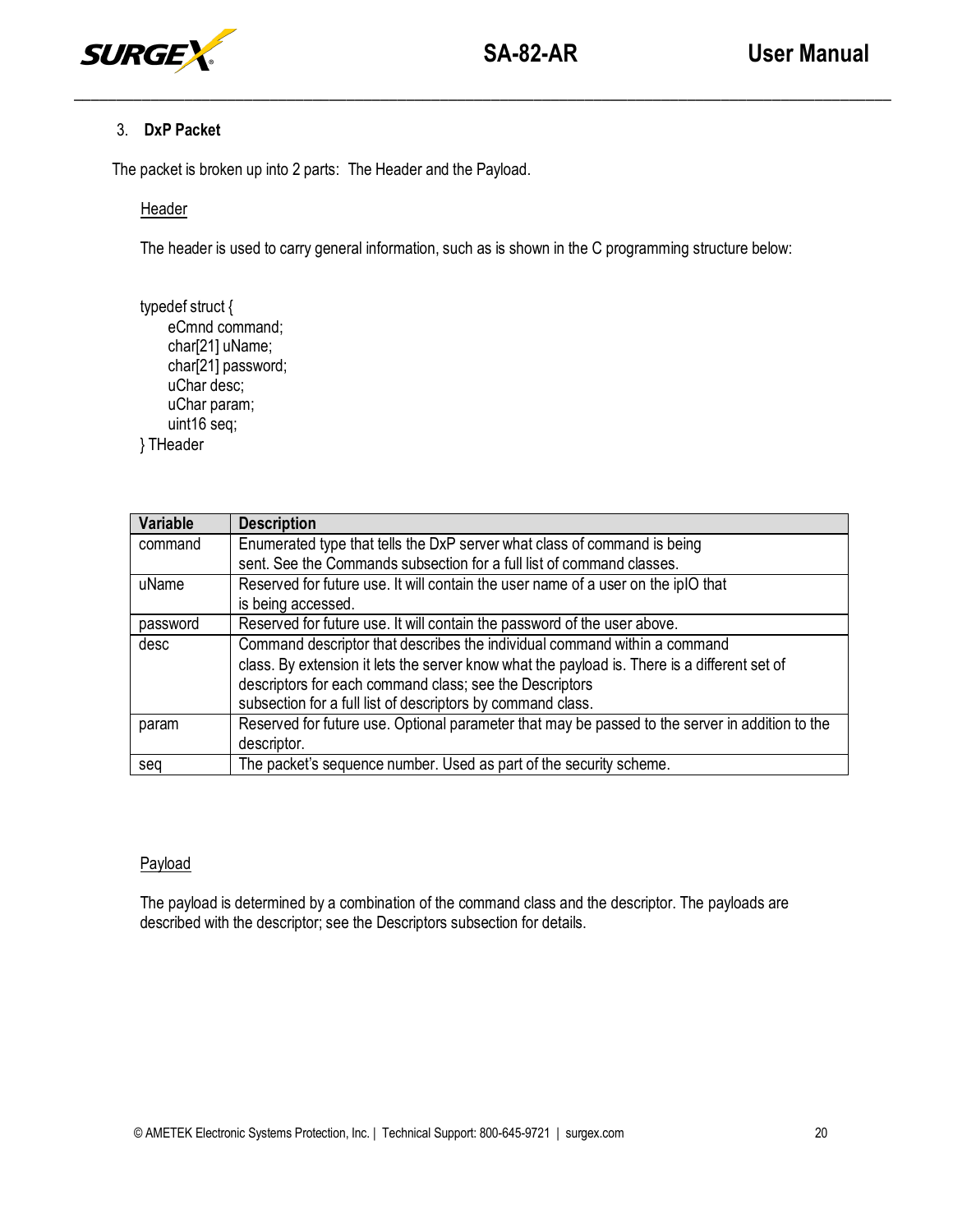

## 3. **DxP Packet**

The packet is broken up into 2 parts: The Header and the Payload.

## Header

The header is used to carry general information, such as is shown in the C programming structure below:

\_\_\_\_\_\_\_\_\_\_\_\_\_\_\_\_\_\_\_\_\_\_\_\_\_\_\_\_\_\_\_\_\_\_\_\_\_\_\_\_\_\_\_\_\_\_\_\_\_\_\_\_\_\_\_\_\_\_\_\_\_\_\_\_\_\_\_\_\_\_\_\_\_\_\_\_\_\_\_\_\_\_\_\_\_\_\_\_\_\_\_\_\_\_\_\_

typedef struct { eCmnd command; char[21] uName; char[21] password; uChar desc; uChar param; uint16 seq;

} THeader

| Variable | <b>Description</b>                                                                              |
|----------|-------------------------------------------------------------------------------------------------|
| command  | Enumerated type that tells the DxP server what class of command is being                        |
|          | sent. See the Commands subsection for a full list of command classes.                           |
| uName    | Reserved for future use. It will contain the user name of a user on the ipIO that               |
|          | is being accessed.                                                                              |
| password | Reserved for future use. It will contain the password of the user above.                        |
| desc     | Command descriptor that describes the individual command within a command                       |
|          | class. By extension it lets the server know what the payload is. There is a different set of    |
|          | descriptors for each command class; see the Descriptors                                         |
|          | subsection for a full list of descriptors by command class.                                     |
| param    | Reserved for future use. Optional parameter that may be passed to the server in addition to the |
|          | descriptor.                                                                                     |
| seg      | The packet's sequence number. Used as part of the security scheme.                              |

## **Payload**

The payload is determined by a combination of the command class and the descriptor. The payloads are described with the descriptor; see the Descriptors subsection for details.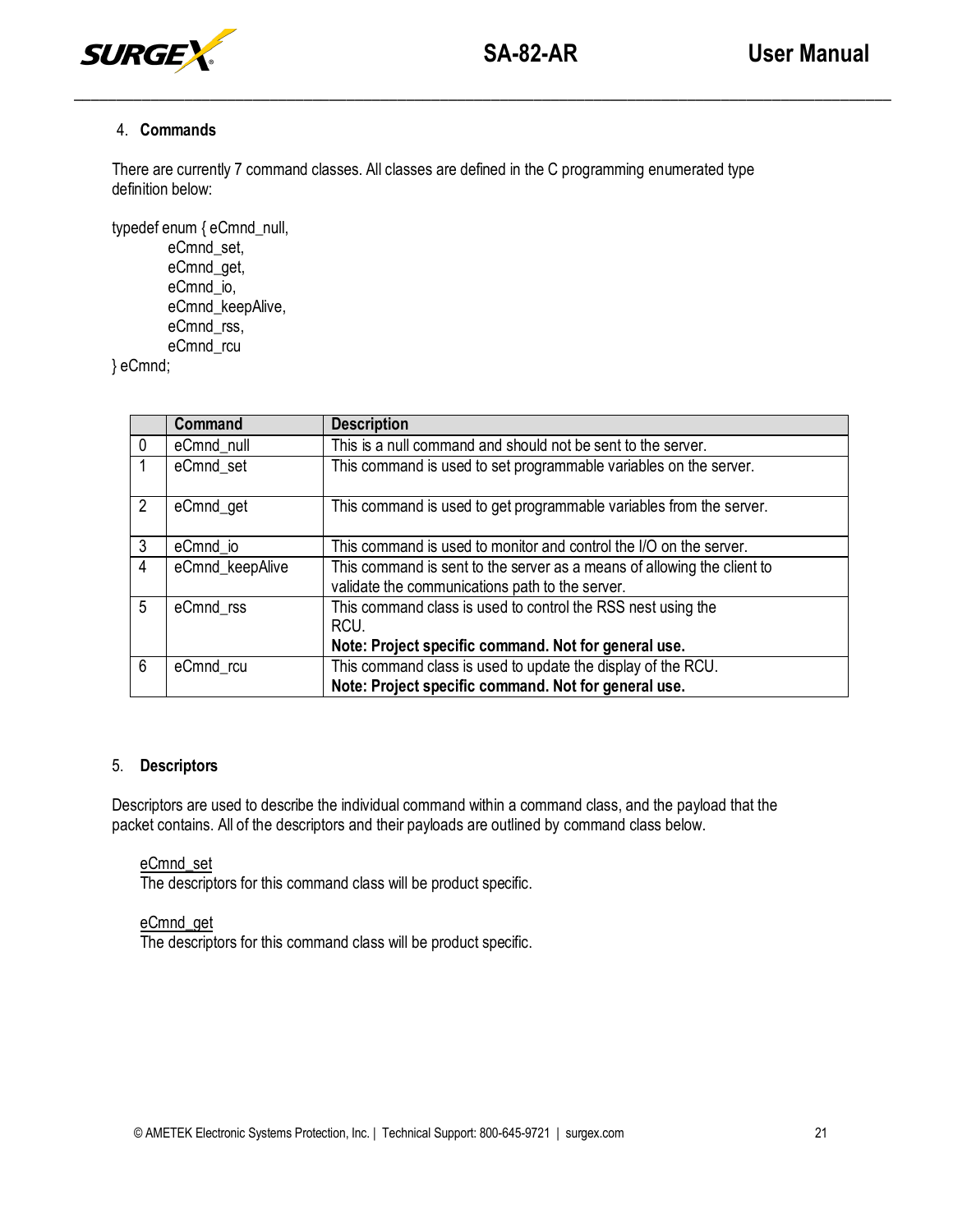

## 4. **Commands**

There are currently 7 command classes. All classes are defined in the C programming enumerated type definition below:

\_\_\_\_\_\_\_\_\_\_\_\_\_\_\_\_\_\_\_\_\_\_\_\_\_\_\_\_\_\_\_\_\_\_\_\_\_\_\_\_\_\_\_\_\_\_\_\_\_\_\_\_\_\_\_\_\_\_\_\_\_\_\_\_\_\_\_\_\_\_\_\_\_\_\_\_\_\_\_\_\_\_\_\_\_\_\_\_\_\_\_\_\_\_\_\_

typedef enum { eCmnd\_null, eCmnd\_set, eCmnd\_get, eCmnd\_io, eCmnd\_keepAlive,

eCmnd\_rss, eCmnd\_rcu

} eCmnd;

|             | Command         | <b>Description</b>                                                                                                           |
|-------------|-----------------|------------------------------------------------------------------------------------------------------------------------------|
| $\mathbf 0$ | eCmnd_null      | This is a null command and should not be sent to the server.                                                                 |
|             | eCmnd_set       | This command is used to set programmable variables on the server.                                                            |
| 2           | eCmnd_get       | This command is used to get programmable variables from the server.                                                          |
| 3           | eCmnd_io        | This command is used to monitor and control the I/O on the server.                                                           |
| 4           | eCmnd_keepAlive | This command is sent to the server as a means of allowing the client to<br>validate the communications path to the server.   |
| 5           | eCmnd_rss       | This command class is used to control the RSS nest using the<br>RCU.<br>Note: Project specific command. Not for general use. |
| 6           | eCmnd_rcu       | This command class is used to update the display of the RCU.<br>Note: Project specific command. Not for general use.         |

## 5. **Descriptors**

Descriptors are used to describe the individual command within a command class, and the payload that the packet contains. All of the descriptors and their payloads are outlined by command class below.

#### eCmnd\_set

The descriptors for this command class will be product specific.

# eCmnd\_get

The descriptors for this command class will be product specific.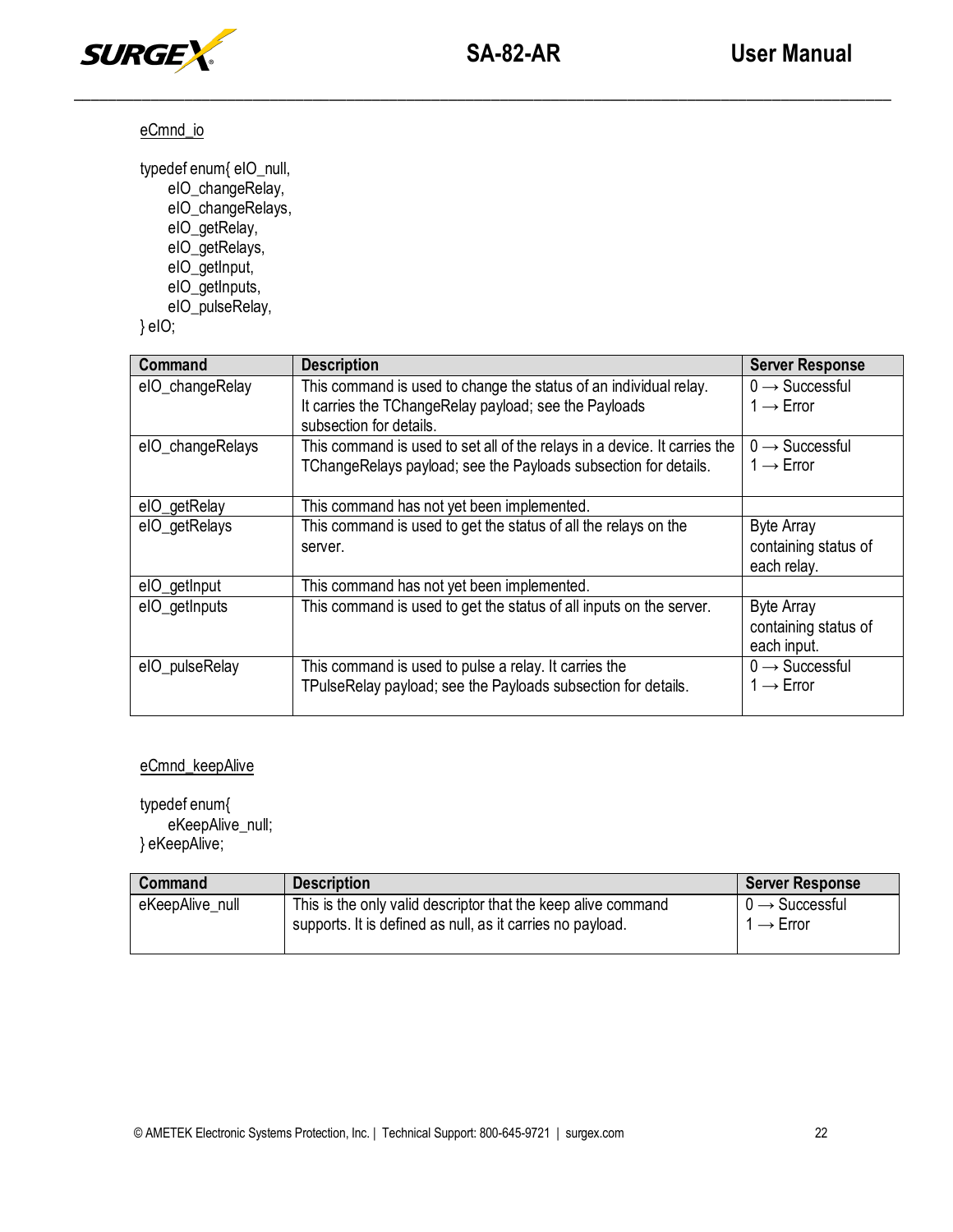

# eCmnd\_io

typedef enum{ eIO\_null, eIO\_changeRelay, eIO\_changeRelays, eIO\_getRelay, eIO\_getRelays, eIO\_getInput,

- eIO\_getInputs,
- eIO\_pulseRelay,

} eIO;

| Command          | <b>Description</b>                                                               | <b>Server Response</b>     |
|------------------|----------------------------------------------------------------------------------|----------------------------|
| elO_changeRelay  | This command is used to change the status of an individual relay.                | $0 \rightarrow$ Successful |
|                  | It carries the TChangeRelay payload; see the Payloads<br>subsection for details. | $1 \rightarrow$ Error      |
| elO_changeRelays | This command is used to set all of the relays in a device. It carries the        | $0 \rightarrow$ Successful |
|                  | TChangeRelays payload; see the Payloads subsection for details.                  | $1 \rightarrow$ Error      |
| elO_getRelay     | This command has not yet been implemented.                                       |                            |
| eIO_getRelays    | This command is used to get the status of all the relays on the                  | <b>Byte Array</b>          |
|                  | server.                                                                          | containing status of       |
|                  |                                                                                  | each relay.                |
| eIO_getInput     | This command has not yet been implemented.                                       |                            |
| eIO_getInputs    | This command is used to get the status of all inputs on the server.              | <b>Byte Array</b>          |
|                  |                                                                                  | containing status of       |
|                  |                                                                                  | each input.                |
| elO_pulseRelay   | This command is used to pulse a relay. It carries the                            | $0 \rightarrow$ Successful |
|                  | TPulseRelay payload; see the Payloads subsection for details.                    | $1 \rightarrow$ Error      |

# eCmnd\_keepAlive

typedef enum{ eKeepAlive\_null; } eKeepAlive;

| Command         | <b>Description</b>                                                                                                          | <b>Server Response</b>                            |
|-----------------|-----------------------------------------------------------------------------------------------------------------------------|---------------------------------------------------|
| eKeepAlive null | This is the only valid descriptor that the keep alive command<br>supports. It is defined as null, as it carries no payload. | $0 \rightarrow$ Successful<br>$\rightarrow$ Error |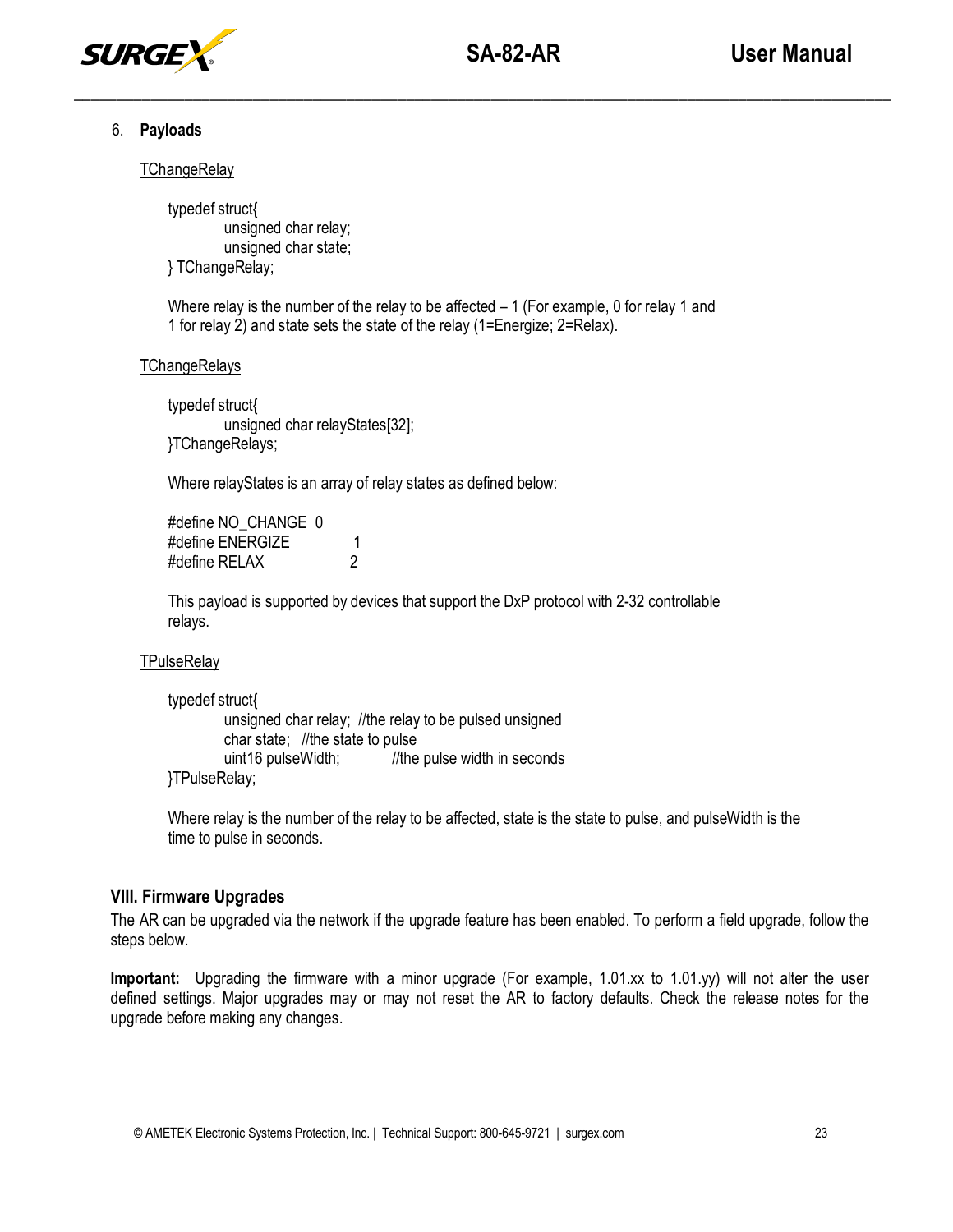

## 6. **Payloads**

## **TChangeRelay**

typedef struct{ unsigned char relay; unsigned char state; } TChangeRelay;

Where relay is the number of the relay to be affected  $-1$  (For example, 0 for relay 1 and 1 for relay 2) and state sets the state of the relay (1=Energize; 2=Relax).

## **TChangeRelays**

typedef struct{ unsigned char relayStates[32]; }TChangeRelays;

Where relayStates is an array of relay states as defined below:

#define NO\_CHANGE\_0 #define ENERGIZE 1 #define RELAX 2

This payload is supported by devices that support the DxP protocol with 2-32 controllable relays.

## **TPulseRelay**

typedef struct{ unsigned char relay; //the relay to be pulsed unsigned char state; //the state to pulse uint16 pulseWidth; //the pulse width in seconds }TPulseRelay;

Where relay is the number of the relay to be affected, state is the state to pulse, and pulseWidth is the time to pulse in seconds.

# **VIII. Firmware Upgrades**

The AR can be upgraded via the network if the upgrade feature has been enabled. To perform a field upgrade, follow the steps below.

**Important:** Upgrading the firmware with a minor upgrade (For example, 1.01.xx to 1.01.yy) will not alter the user defined settings. Major upgrades may or may not reset the AR to factory defaults. Check the release notes for the upgrade before making any changes.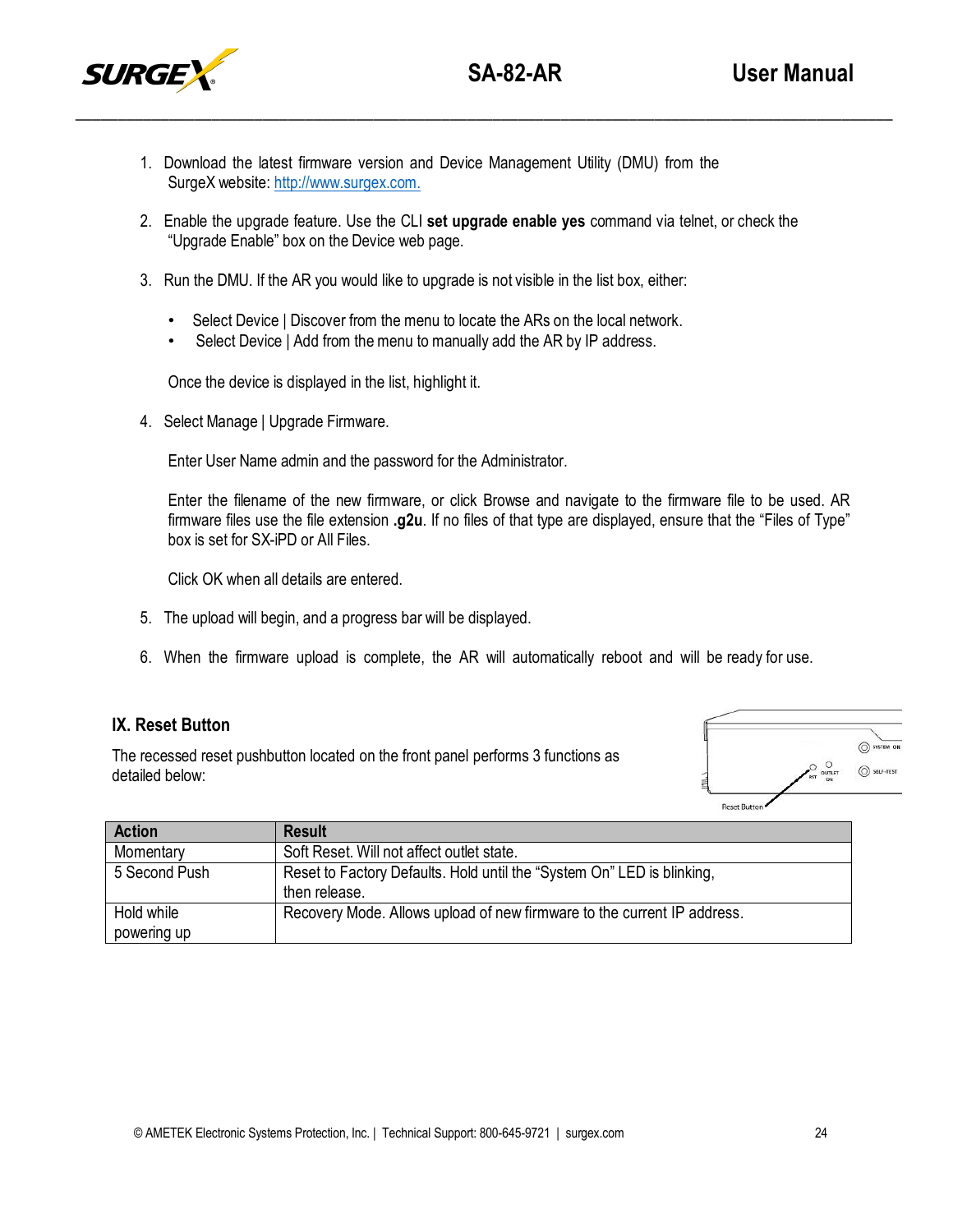- 1. Download the latest firmware version and Device Management Utility (DMU) from the SurgeX website: [http://www.surgex.com.](http://www.surgex.com./)
- 2. Enable the upgrade feature. Use the CLI **set upgrade enable yes** command via telnet, or check the "Upgrade Enable" box on the Device web page.

 $\overline{\phantom{a}}$  , and the contribution of the contribution of the contribution of the contribution of the contribution of the contribution of the contribution of the contribution of the contribution of the contribution of the

- 3. Run the DMU. If the AR you would like to upgrade is not visible in the list box, either:
	- Select Device | Discover from the menu to locate the ARs on the local network.
	- Select Device | Add from the menu to manually add the AR by IP address.

Once the device is displayed in the list, highlight it.

4. Select Manage | Upgrade Firmware.

Enter User Name admin and the password for the Administrator.

Enter the filename of the new firmware, or click Browse and navigate to the firmware file to be used. AR firmware files use the file extension **.g2u**. If no files of that type are displayed, ensure that the "Files of Type" box is set for SX-iPD or All Files.

Click OK when all details are entered.

- 5. The upload will begin, and a progress bar will be displayed.
- 6. When the firmware upload is complete, the AR will automatically reboot and will be ready for use.

# **IX. Reset Button**

The recessed reset pushbutton located on the front panel performs 3 functions as detailed below:



| <b>Action</b> | <b>Result</b>                                                           |
|---------------|-------------------------------------------------------------------------|
| Momentary     | Soft Reset. Will not affect outlet state.                               |
| 5 Second Push | Reset to Factory Defaults. Hold until the "System On" LED is blinking,  |
|               | then release.                                                           |
| Hold while    | Recovery Mode. Allows upload of new firmware to the current IP address. |
| powering up   |                                                                         |